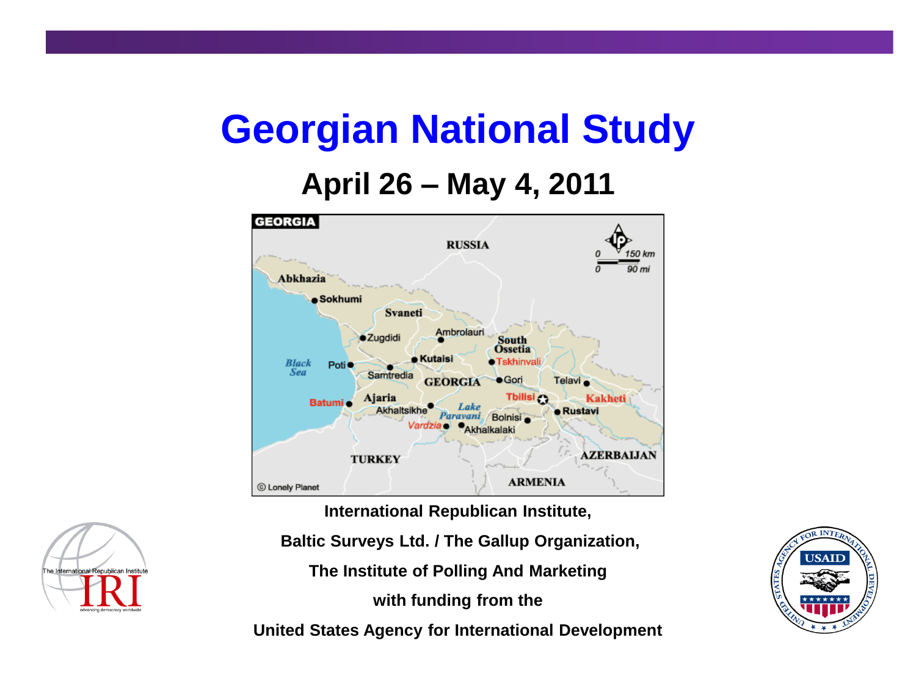### **Georgian National Study**

#### **April 26 – May 4, 2011**



**International Republican Institute,**

**Baltic Surveys Ltd. / The Gallup Organization,**

**The Institute of Polling And Marketing**

**with funding from the**

**United States Agency for International Development**



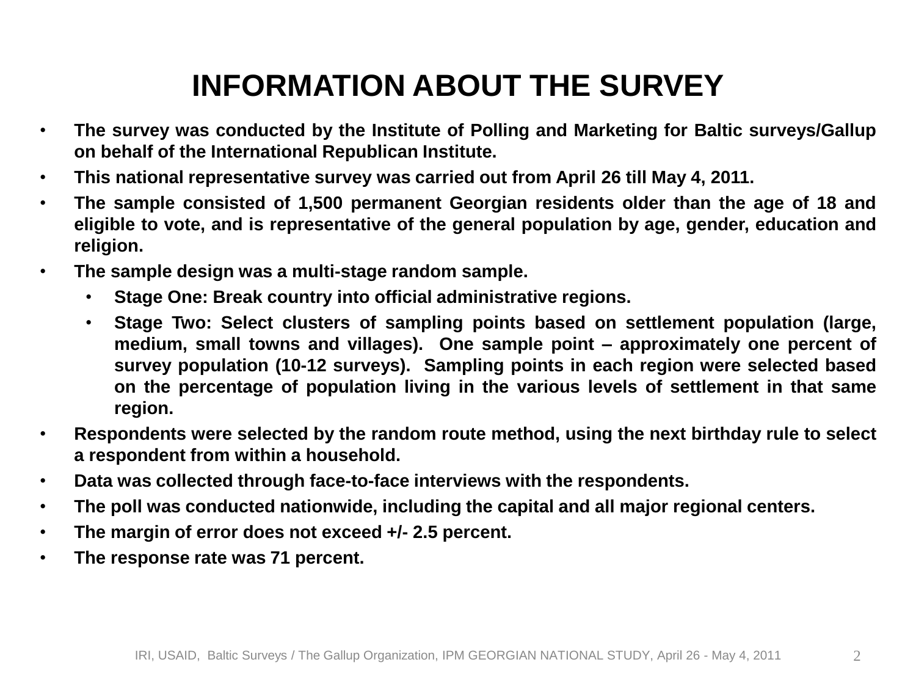### **INFORMATION ABOUT THE SURVEY**

- **The survey was conducted by the Institute of Polling and Marketing for Baltic surveys/Gallup on behalf of the International Republican Institute.**
- **This national representative survey was carried out from April 26 till May 4, 2011.**
- **The sample consisted of 1,500 permanent Georgian residents older than the age of 18 and eligible to vote, and is representative of the general population by age, gender, education and religion.**
- **The sample design was a multi-stage random sample.**
	- **Stage One: Break country into official administrative regions.**
	- **Stage Two: Select clusters of sampling points based on settlement population (large, medium, small towns and villages). One sample point – approximately one percent of survey population (10-12 surveys). Sampling points in each region were selected based on the percentage of population living in the various levels of settlement in that same region.**
- **Respondents were selected by the random route method, using the next birthday rule to select a respondent from within a household.**
- **Data was collected through face-to-face interviews with the respondents.**
- **The poll was conducted nationwide, including the capital and all major regional centers.**
- **The margin of error does not exceed +/- 2.5 percent.**
- **The response rate was 71 percent.**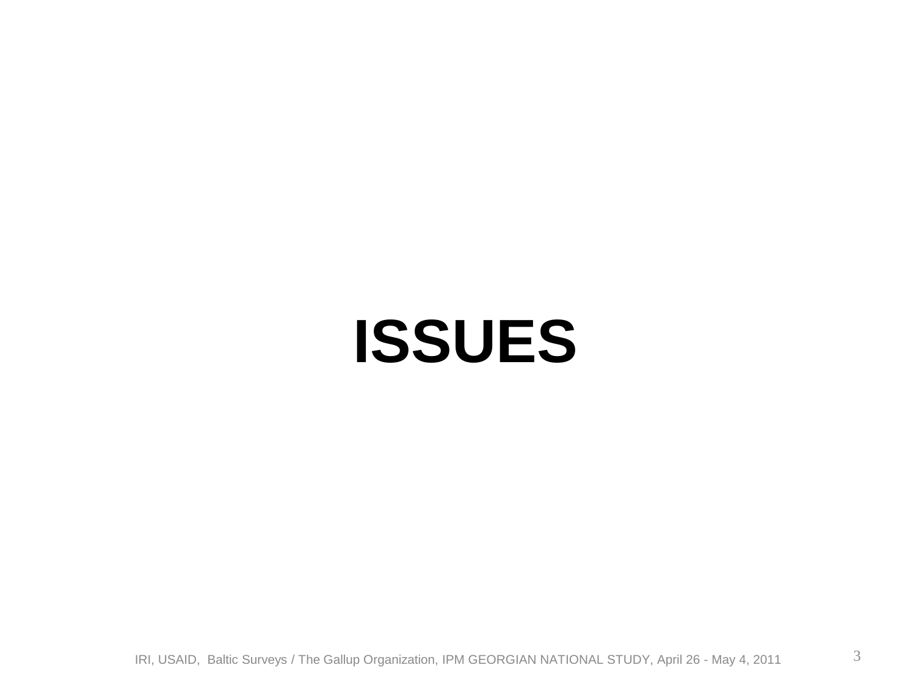### **ISSUES**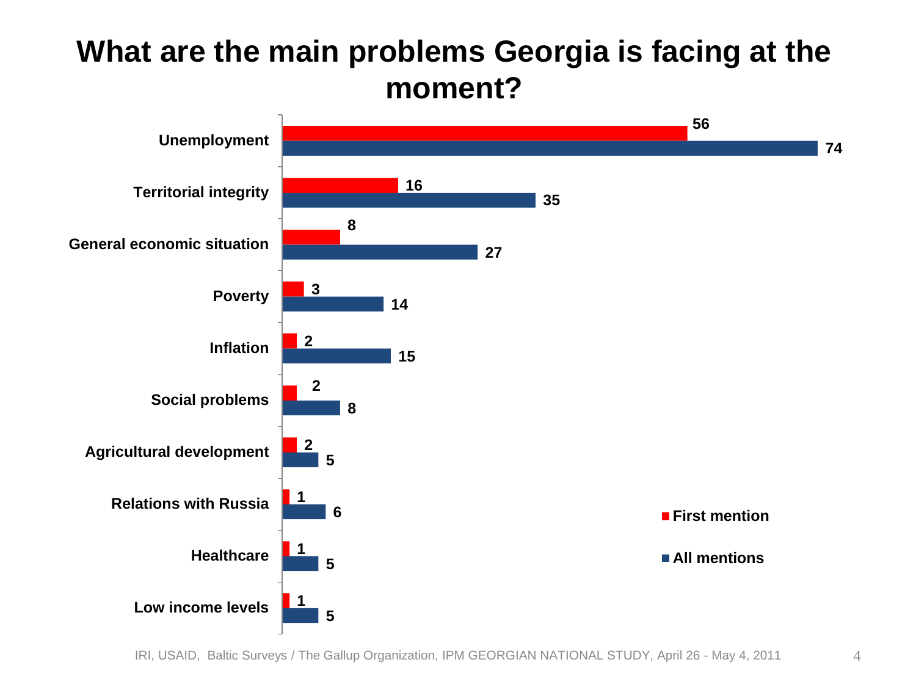#### **What are the main problems Georgia is facing at the moment?**



IRI, USAID, Baltic Surveys / The Gallup Organization, IPM GEORGIAN NATIONAL STUDY, April 26 - May 4, 2011 4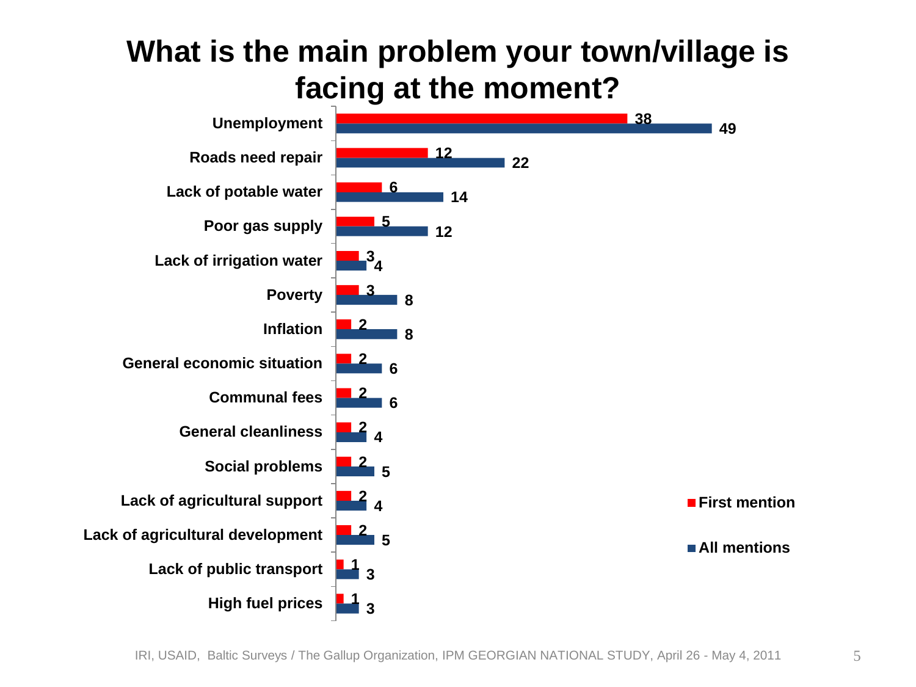#### **What is the main problem your town/village is facing at the moment?**

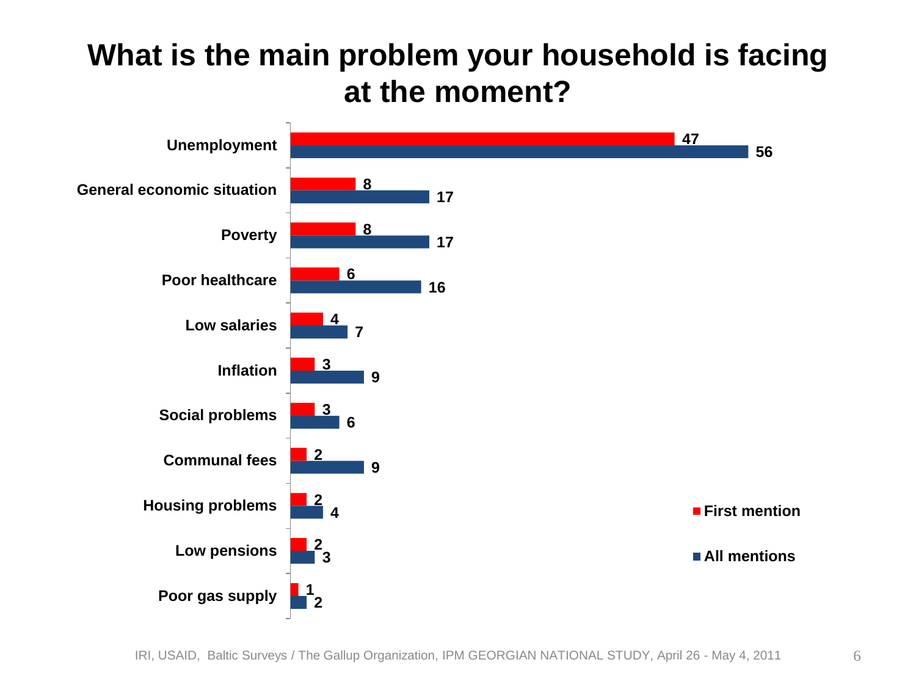#### **What is the main problem your household is facing at the moment?**

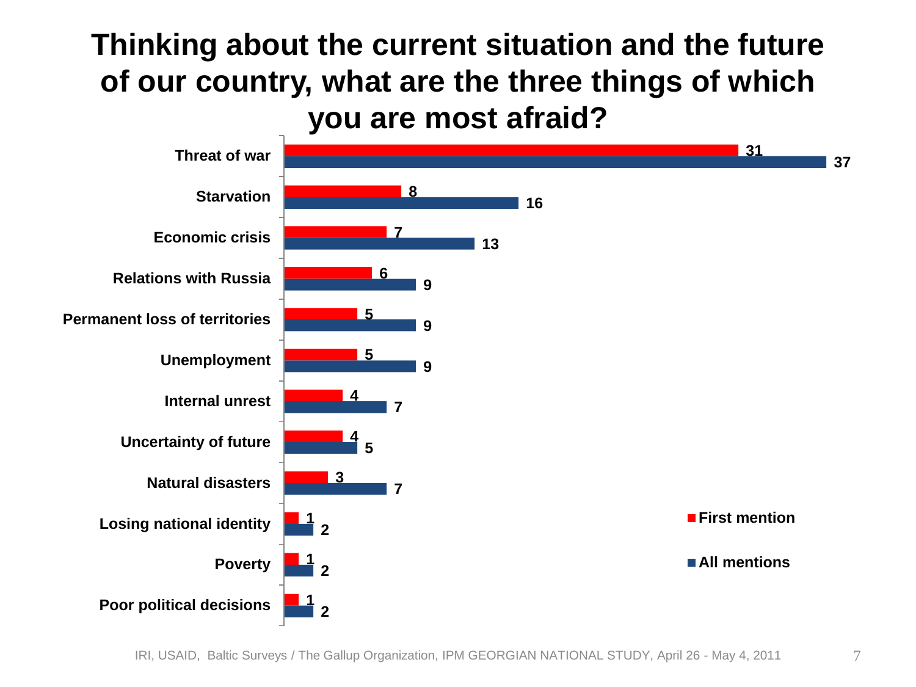#### **Thinking about the current situation and the future of our country, what are the three things of which you are most afraid?**

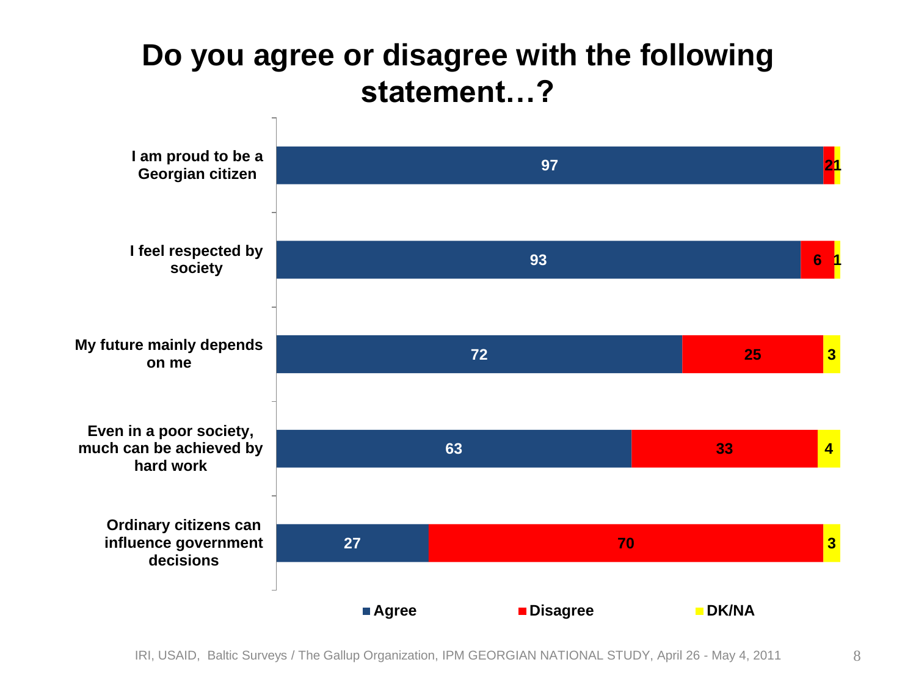#### **Do you agree or disagree with the following statement…?**

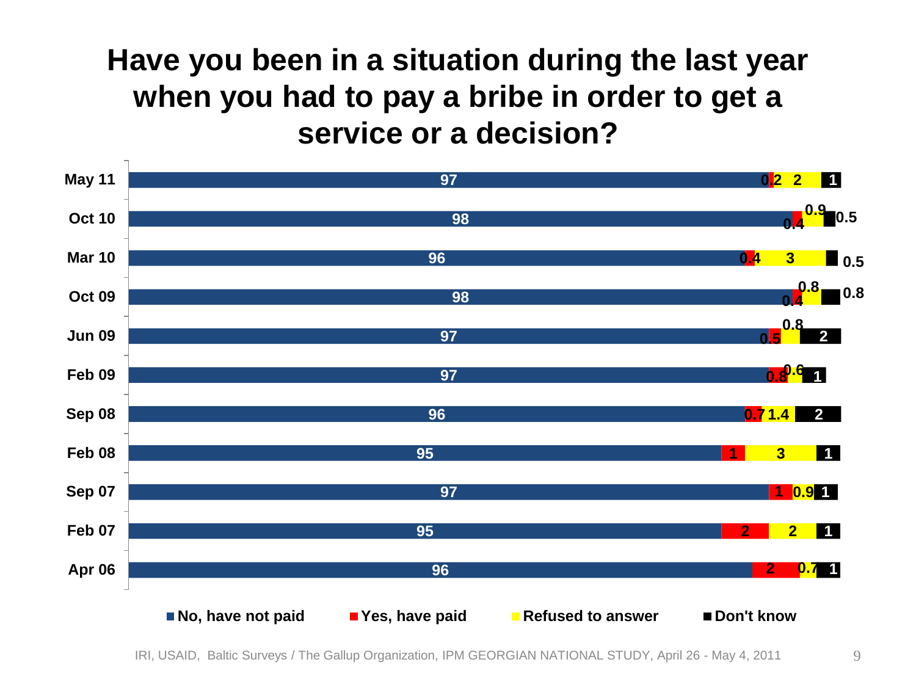#### **Have you been in a situation during the last year when you had to pay a bribe in order to get a service or a decision?**

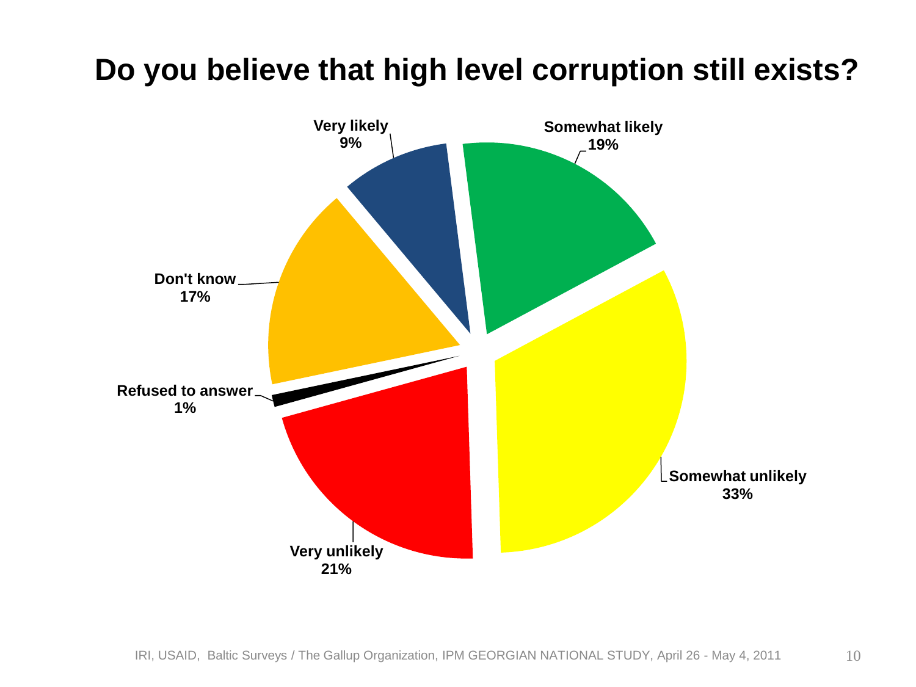#### **Do you believe that high level corruption still exists?**

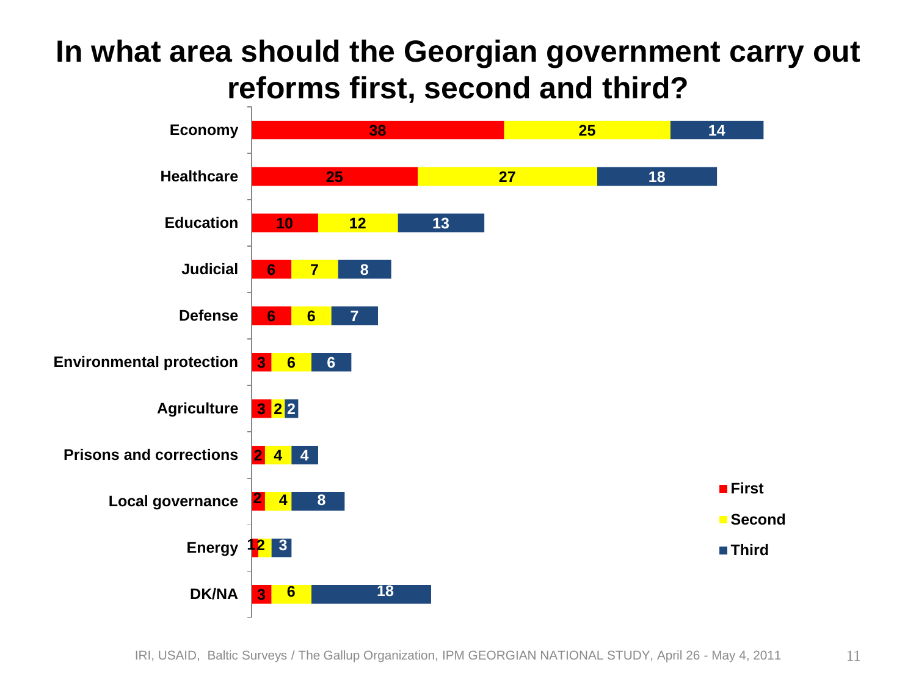#### **In what area should the Georgian government carry out reforms first, second and third?**

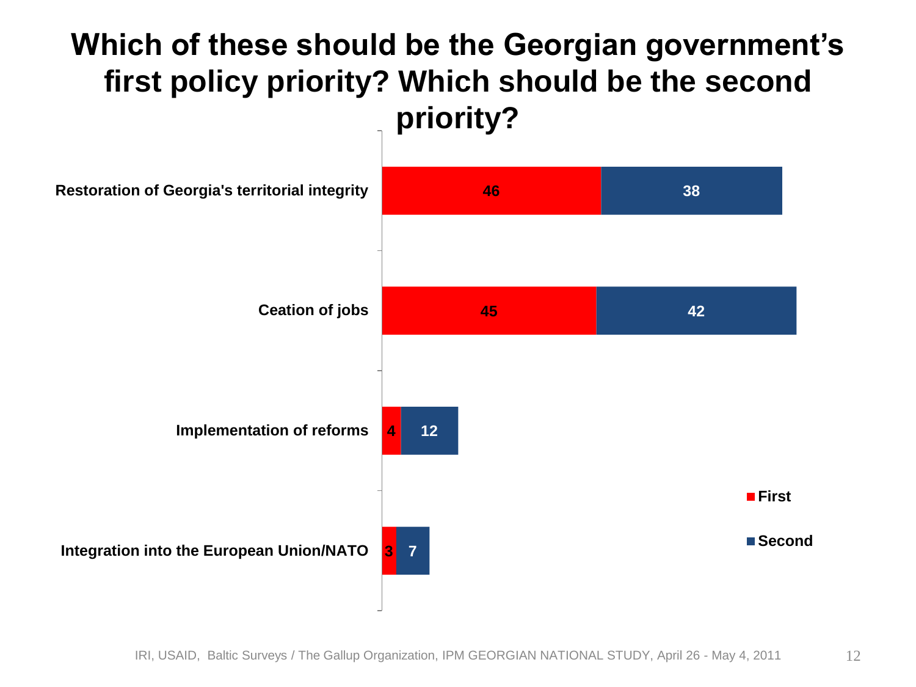#### **Which of these should be the Georgian government's first policy priority? Which should be the second priority?**

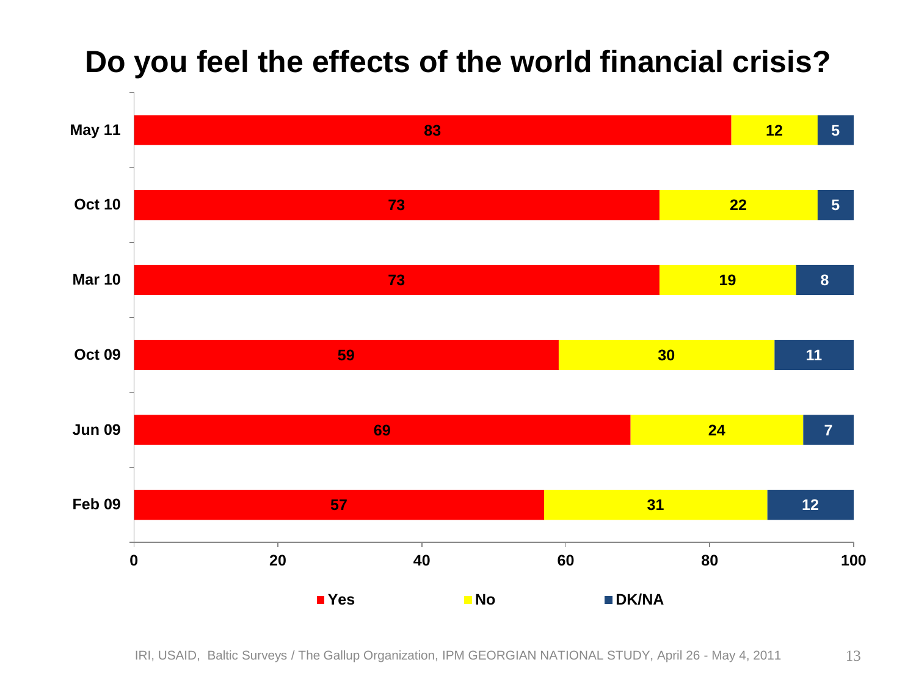

#### **Do you feel the effects of the world financial crisis?**

IRI, USAID, Baltic Surveys / The Gallup Organization, IPM GEORGIAN NATIONAL STUDY, April 26 - May 4, 2011 13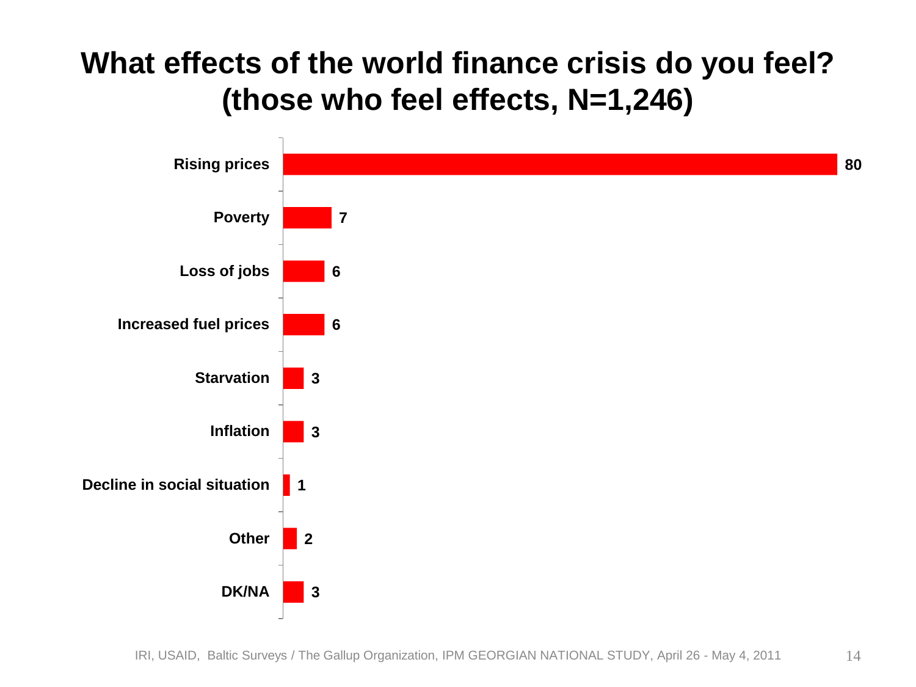#### **What effects of the world finance crisis do you feel? (those who feel effects, N=1,246)**

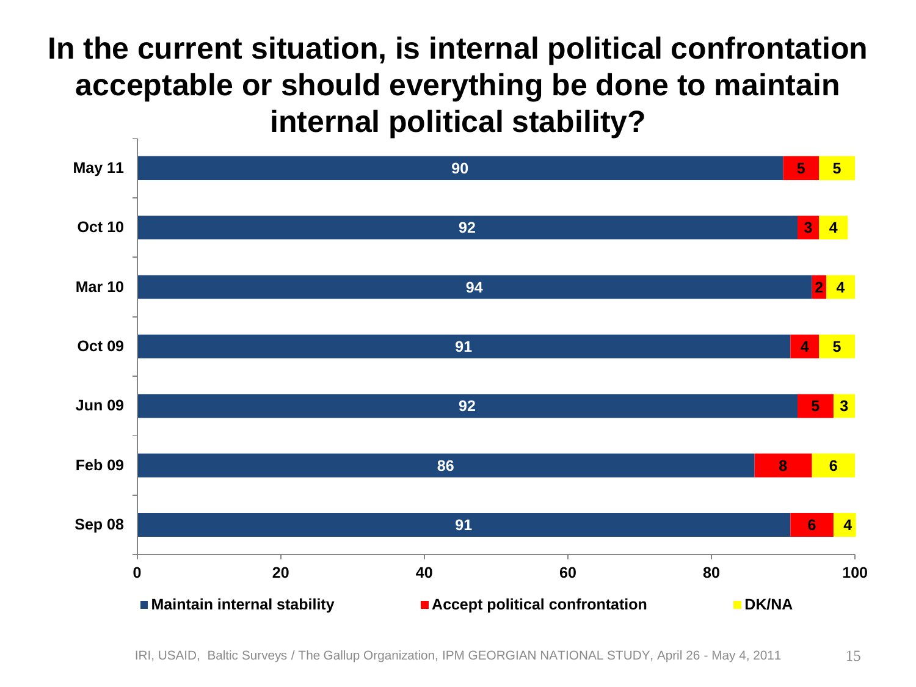#### **In the current situation, is internal political confrontation acceptable or should everything be done to maintain internal political stability?**



IRI, USAID, Baltic Surveys / The Gallup Organization, IPM GEORGIAN NATIONAL STUDY, April 26 - May 4, 2011 15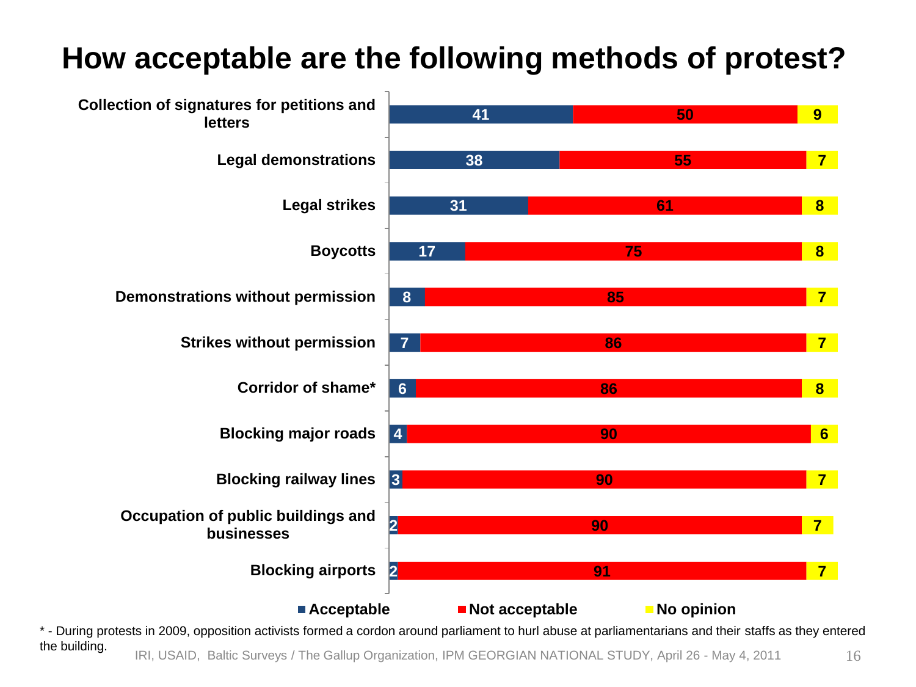#### **How acceptable are the following methods of protest?**



IRI, USAID, Baltic Surveys / The Gallup Organization, IPM GEORGIAN NATIONAL STUDY, April 26 - May 4, 2011 16 \* - During protests in 2009, opposition activists formed a cordon around parliament to hurl abuse at parliamentarians and their staffs as they entered the building.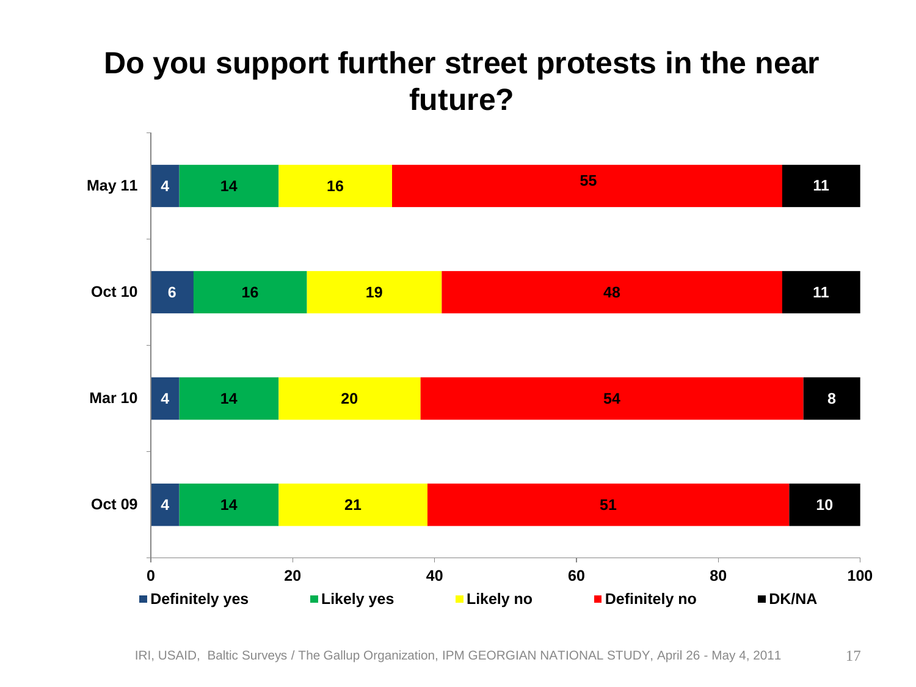#### **Do you support further street protests in the near future?**

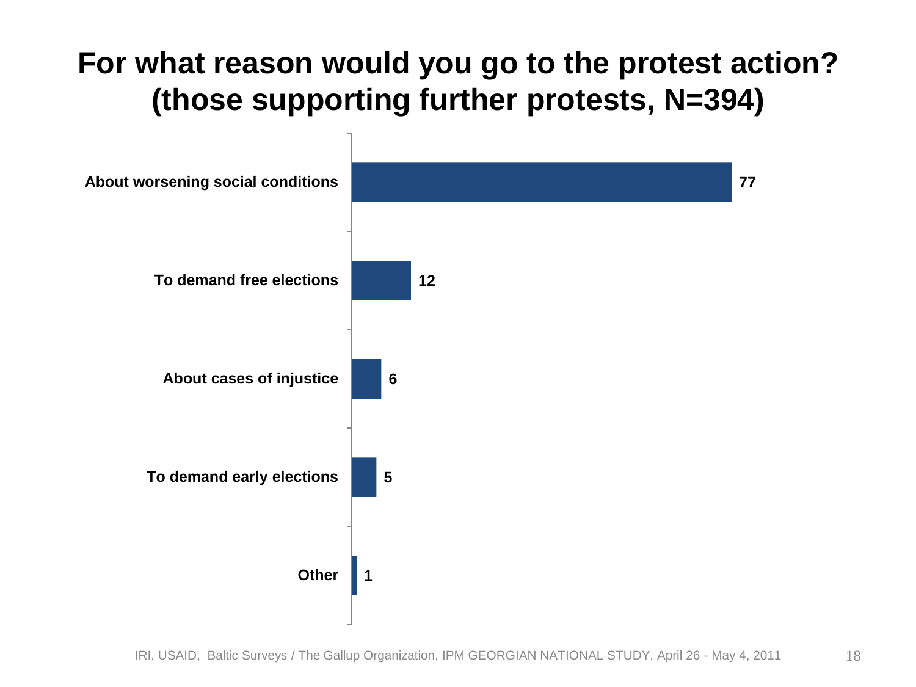#### **For what reason would you go to the protest action? (those supporting further protests, N=394)**

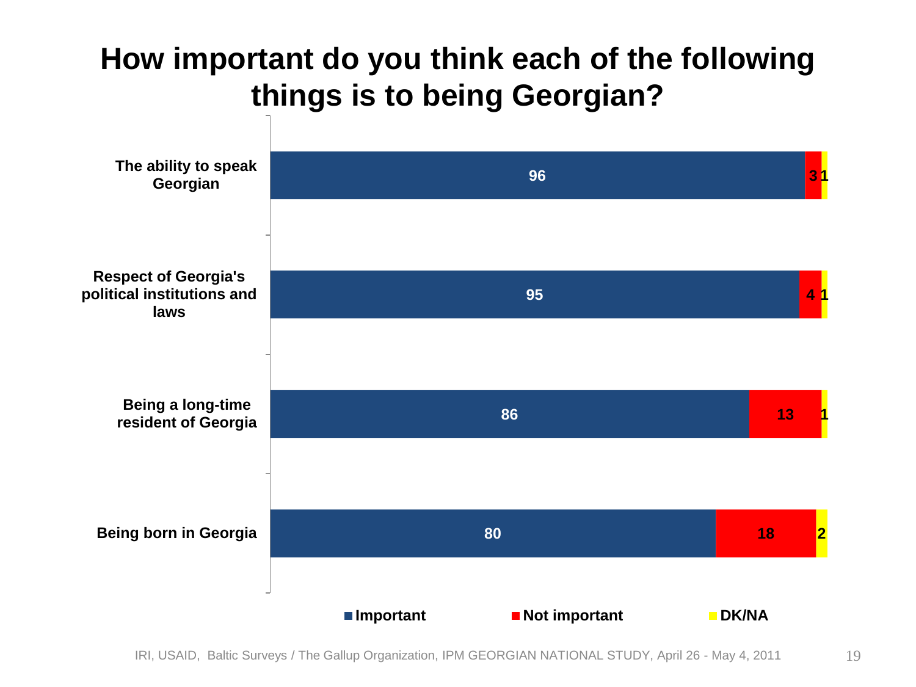#### **How important do you think each of the following things is to being Georgian?**

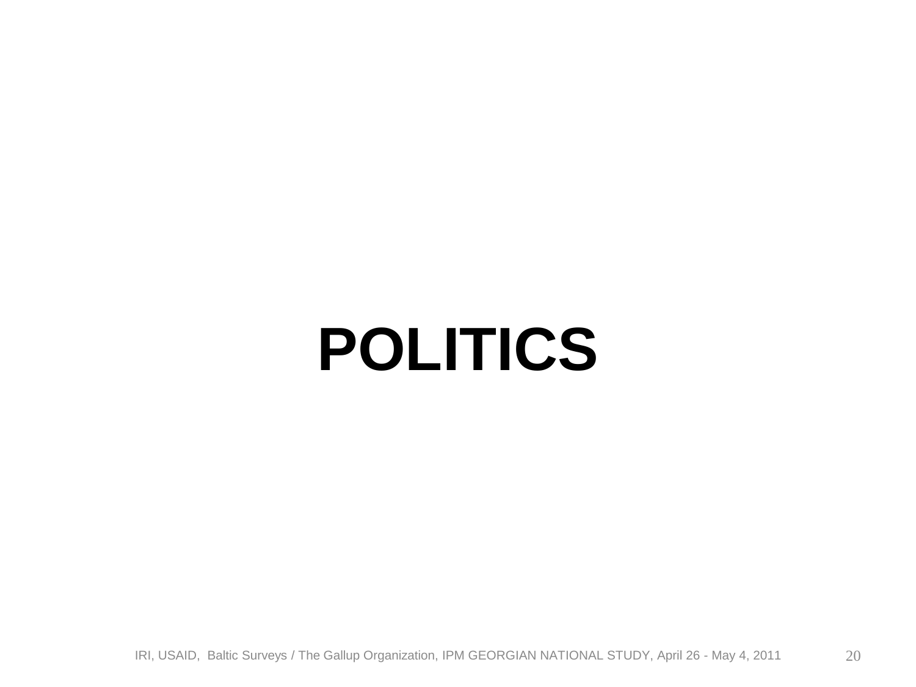### **POLITICS**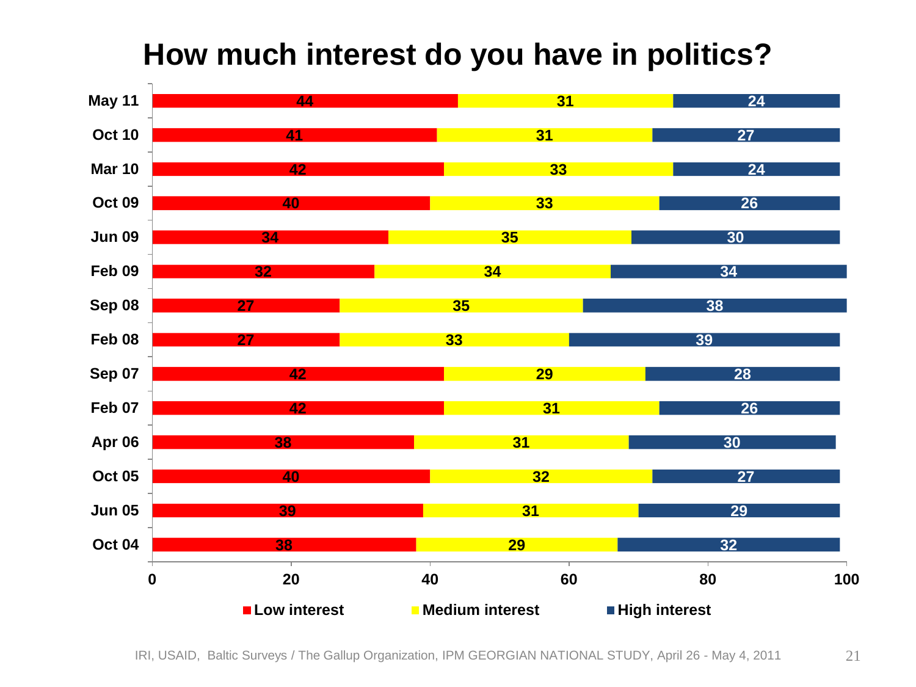#### **How much interest do you have in politics?**



IRI, USAID, Baltic Surveys / The Gallup Organization, IPM GEORGIAN NATIONAL STUDY, April 26 - May 4, 2011 21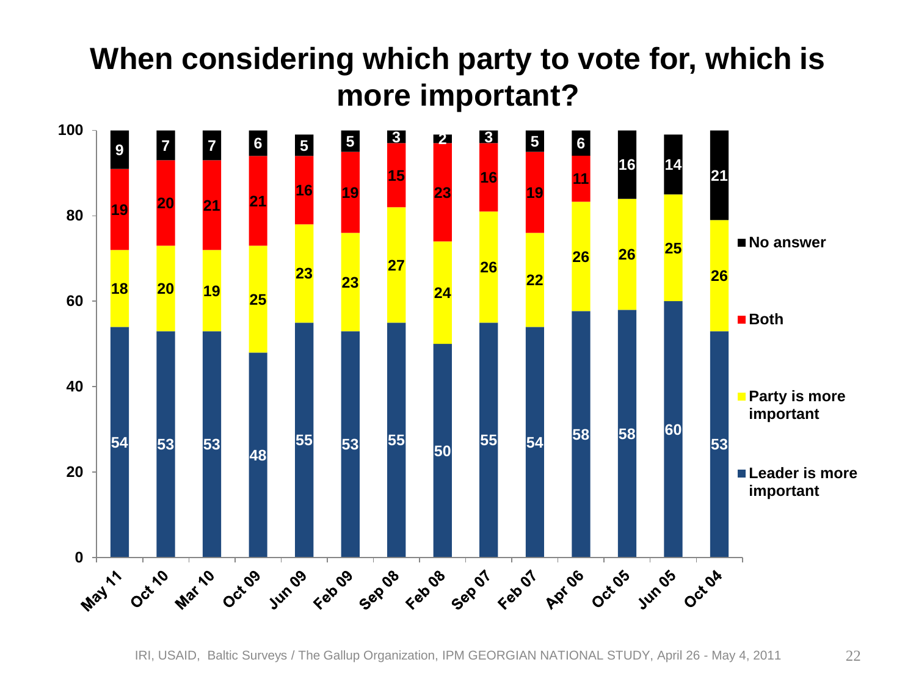#### **When considering which party to vote for, which is more important?**



IRI, USAID, Baltic Surveys / The Gallup Organization, IPM GEORGIAN NATIONAL STUDY, April 26 - May 4, 2011 22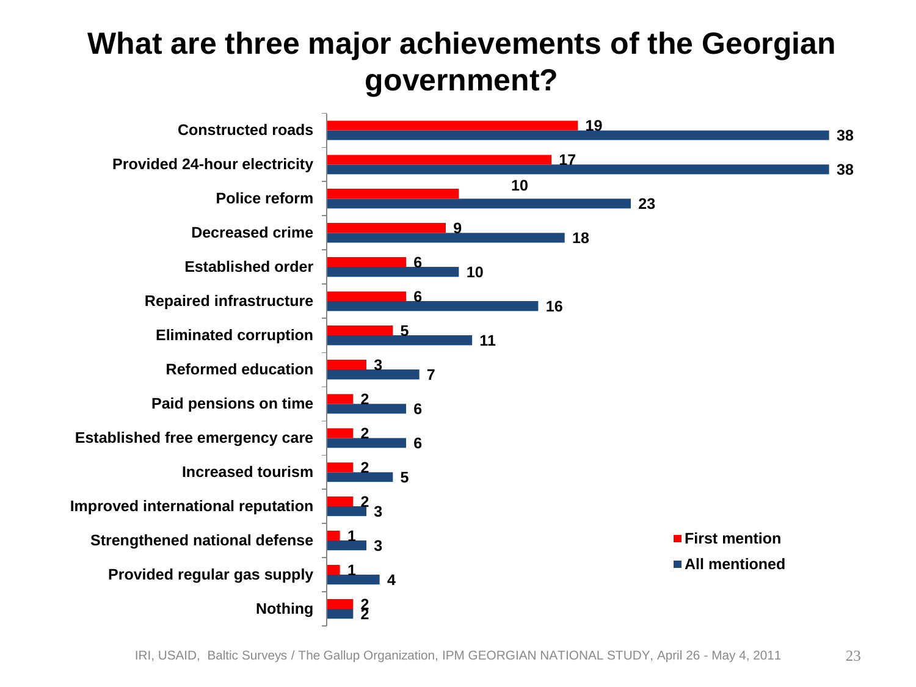#### **What are three major achievements of the Georgian government?**

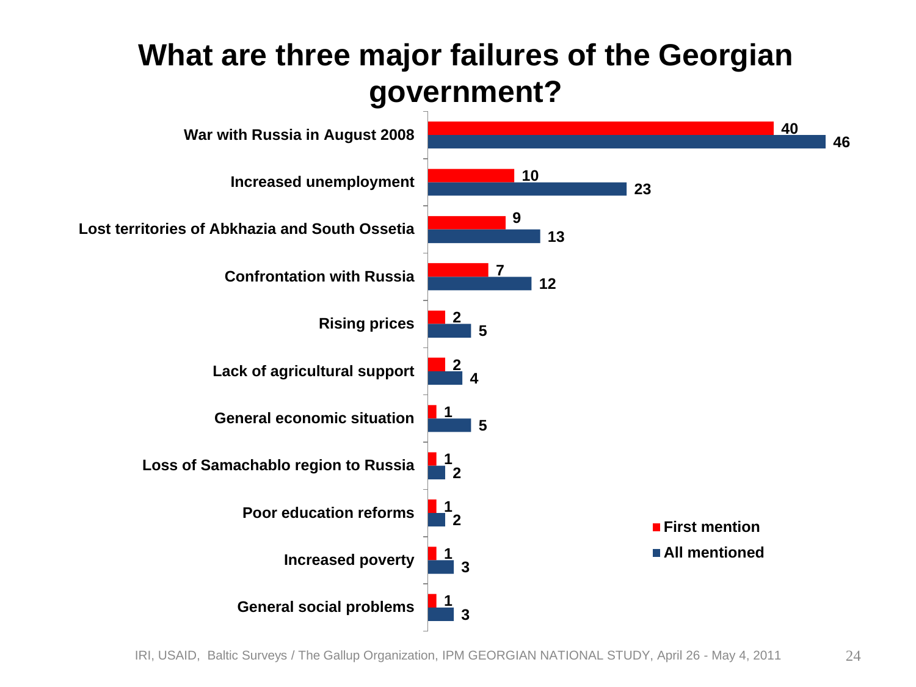#### **What are three major failures of the Georgian government?**

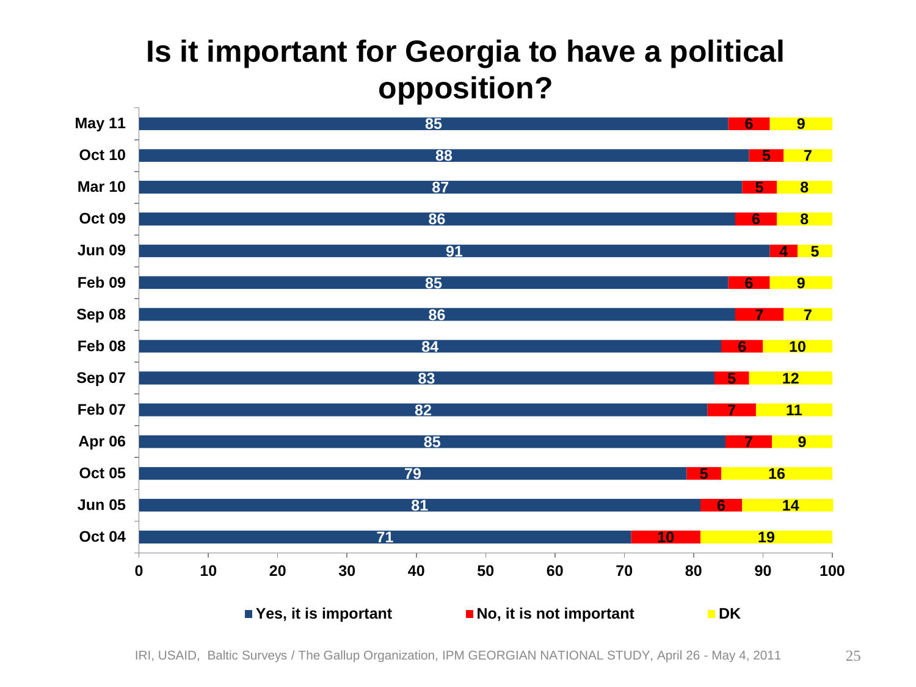#### **Is it important for Georgia to have a political opposition?**

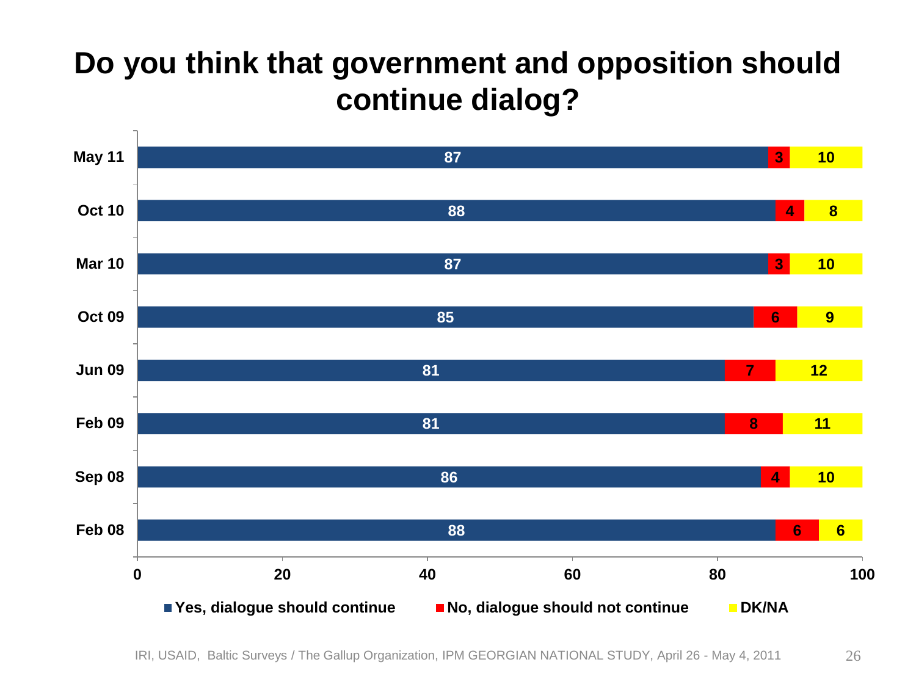#### **Do you think that government and opposition should continue dialog?**

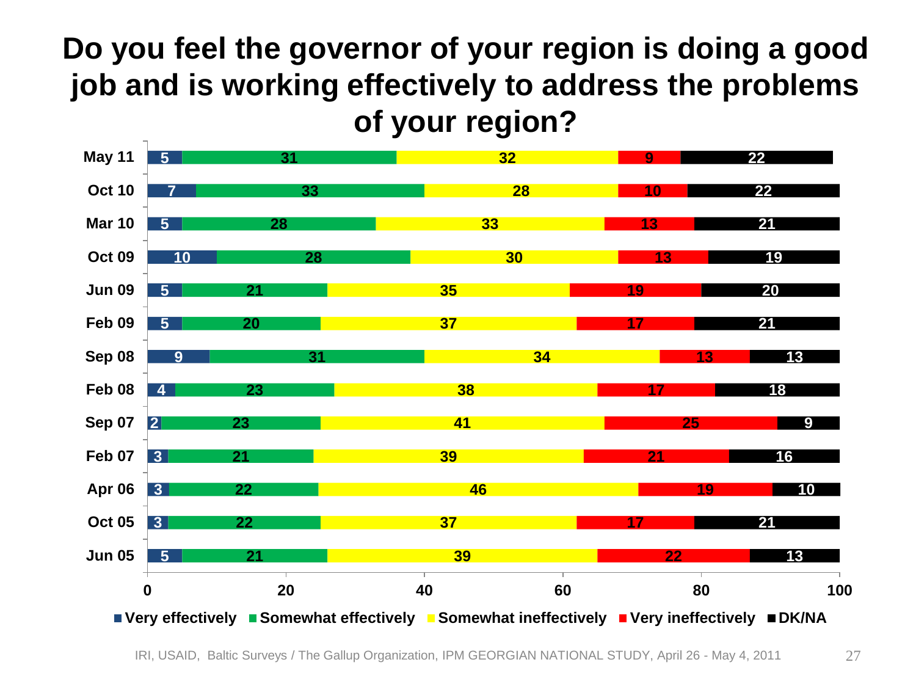#### **Do you feel the governor of your region is doing a good job and is working effectively to address the problems of your region?**

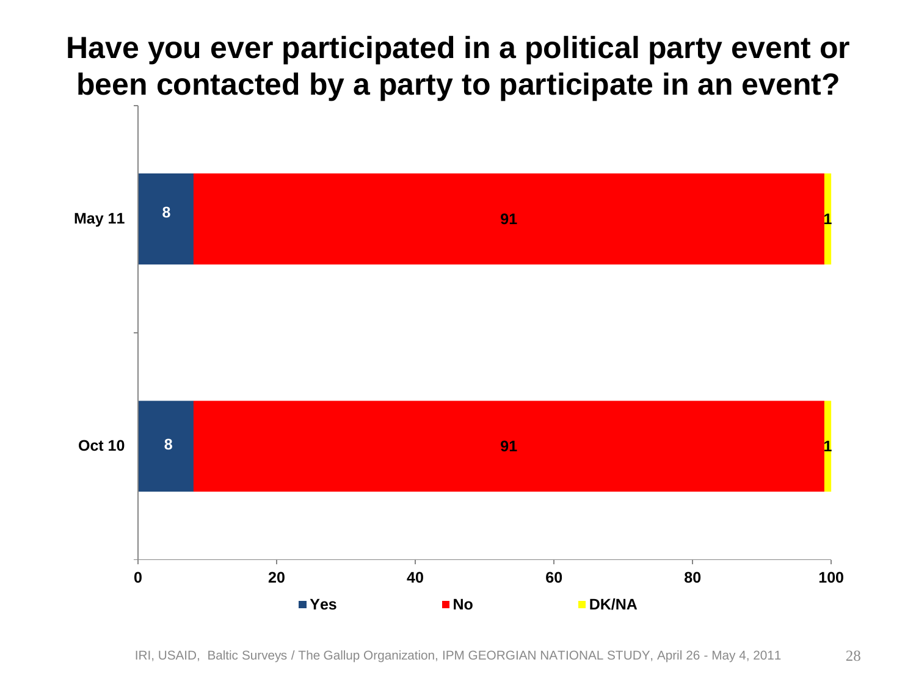#### **Have you ever participated in a political party event or been contacted by a party to participate in an event?**



IRI, USAID, Baltic Surveys / The Gallup Organization, IPM GEORGIAN NATIONAL STUDY, April 26 - May 4, 2011 28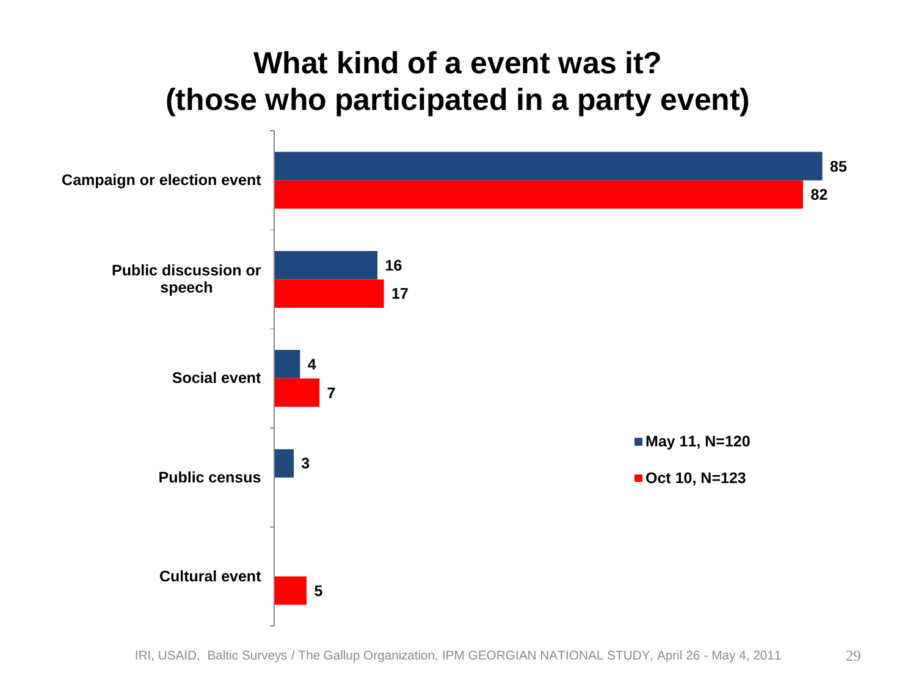#### **What kind of a event was it? (those who participated in a party event)**

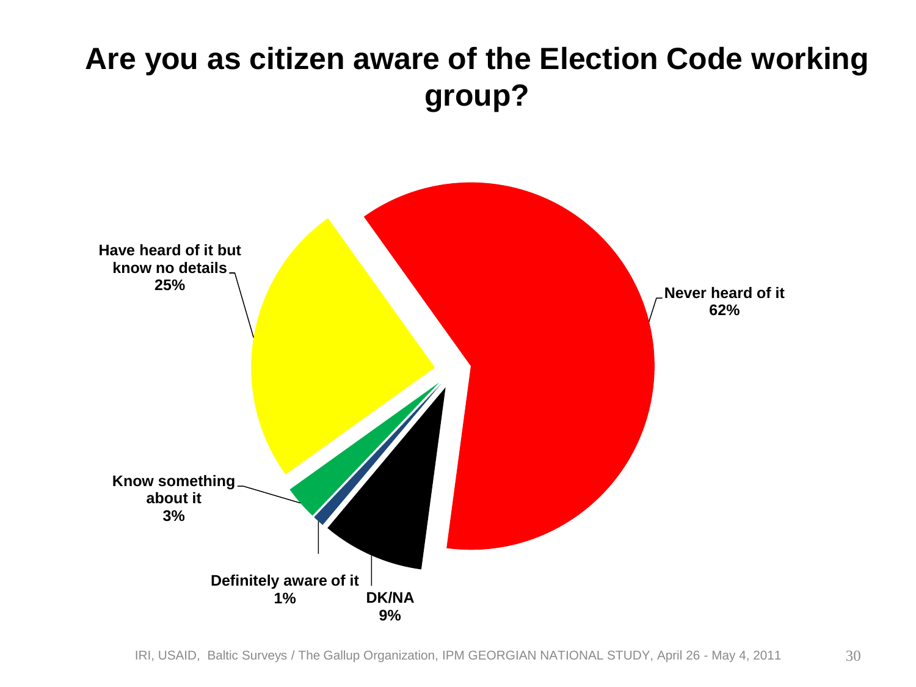### **Are you as citizen aware of the Election Code working group?**

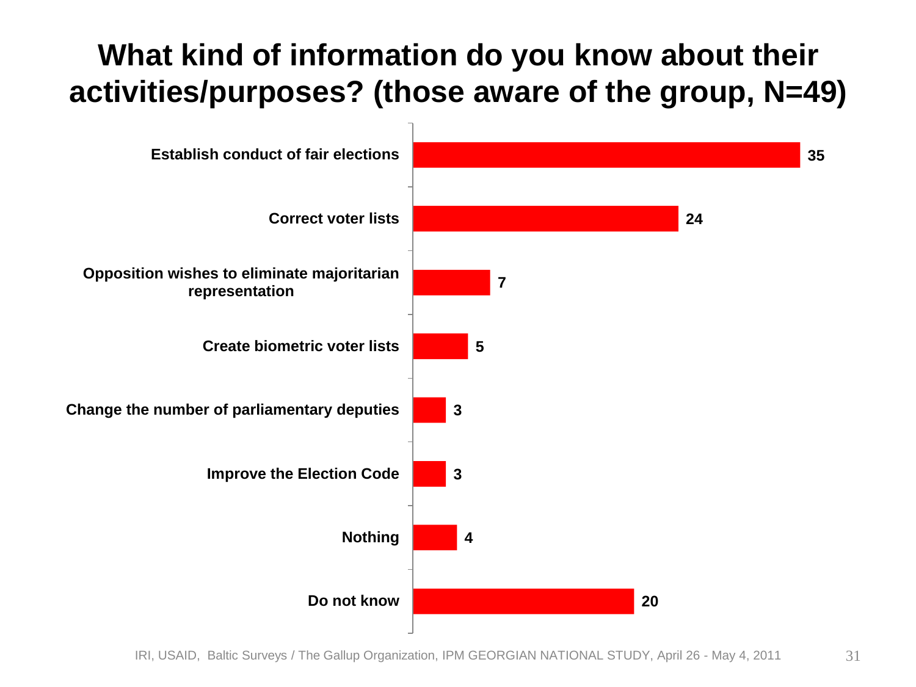### **What kind of information do you know about their activities/purposes? (those aware of the group, N=49)**



IRI, USAID, Baltic Surveys / The Gallup Organization, IPM GEORGIAN NATIONAL STUDY, April 26 - May 4, 2011 31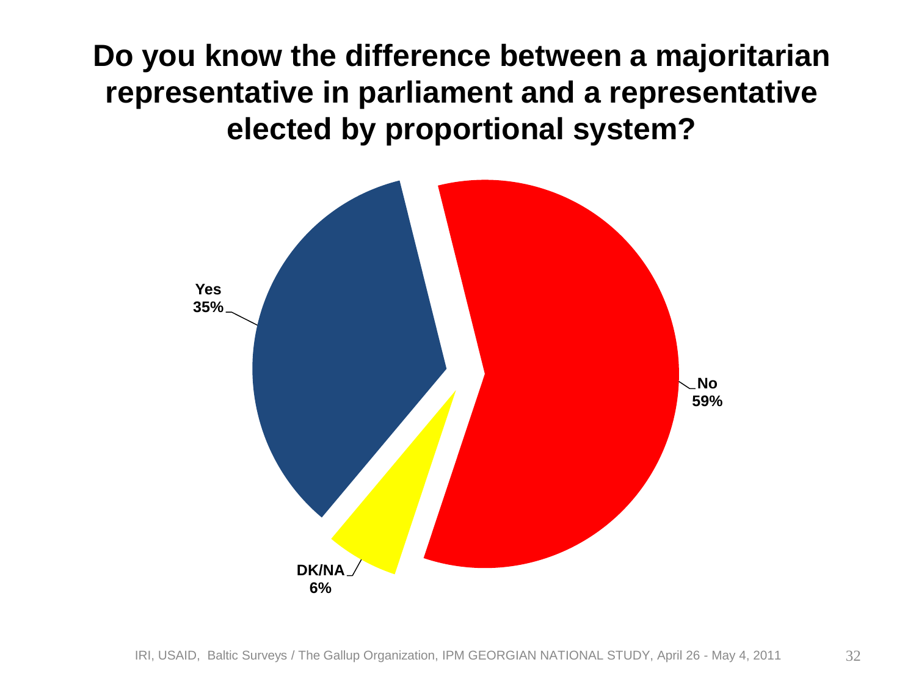**Do you know the difference between a majoritarian representative in parliament and a representative elected by proportional system?** 

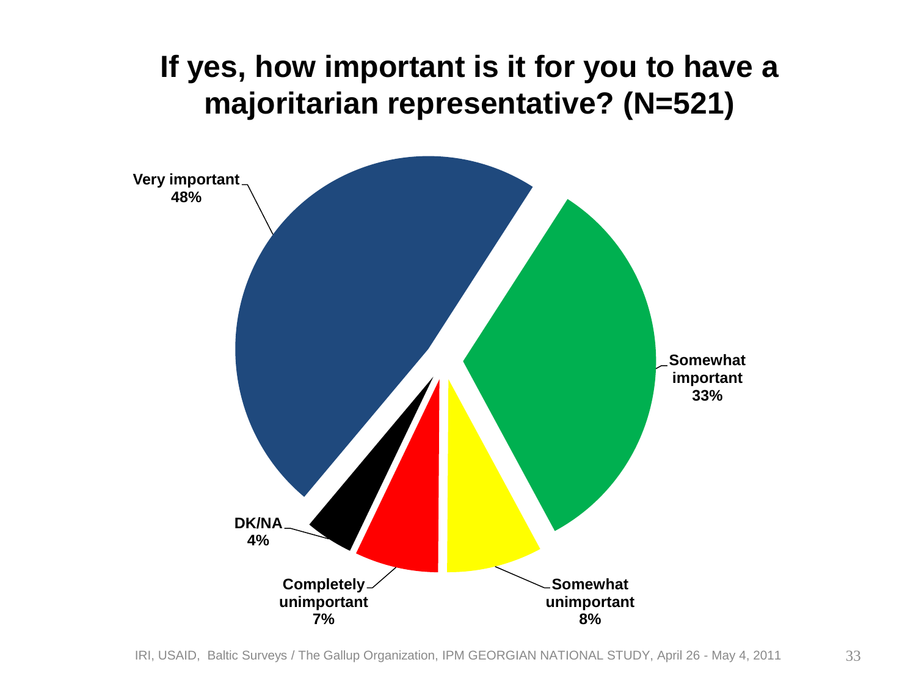#### **If yes, how important is it for you to have a majoritarian representative? (N=521)**

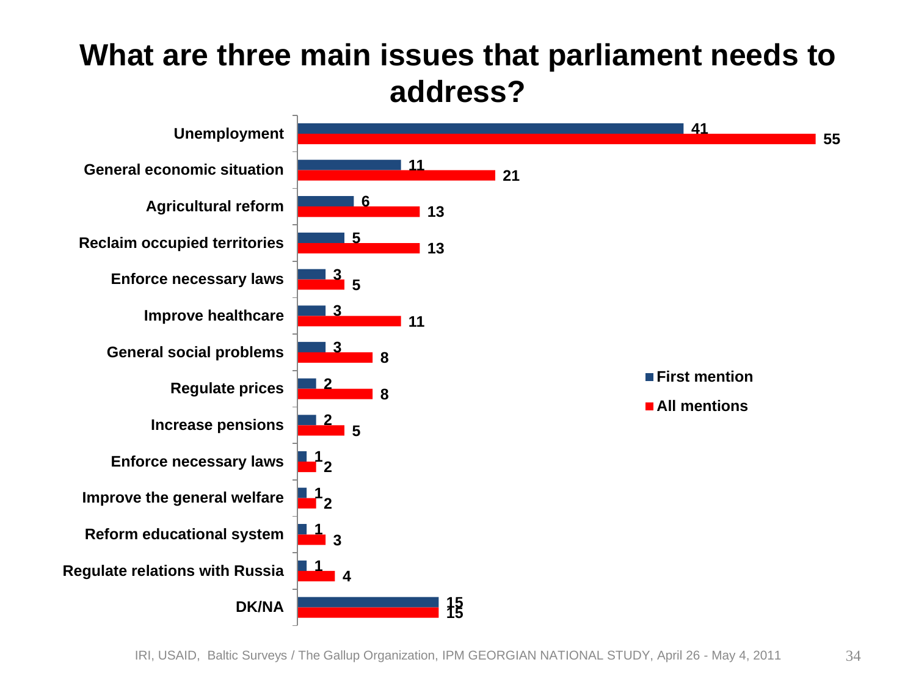#### **What are three main issues that parliament needs to address?**

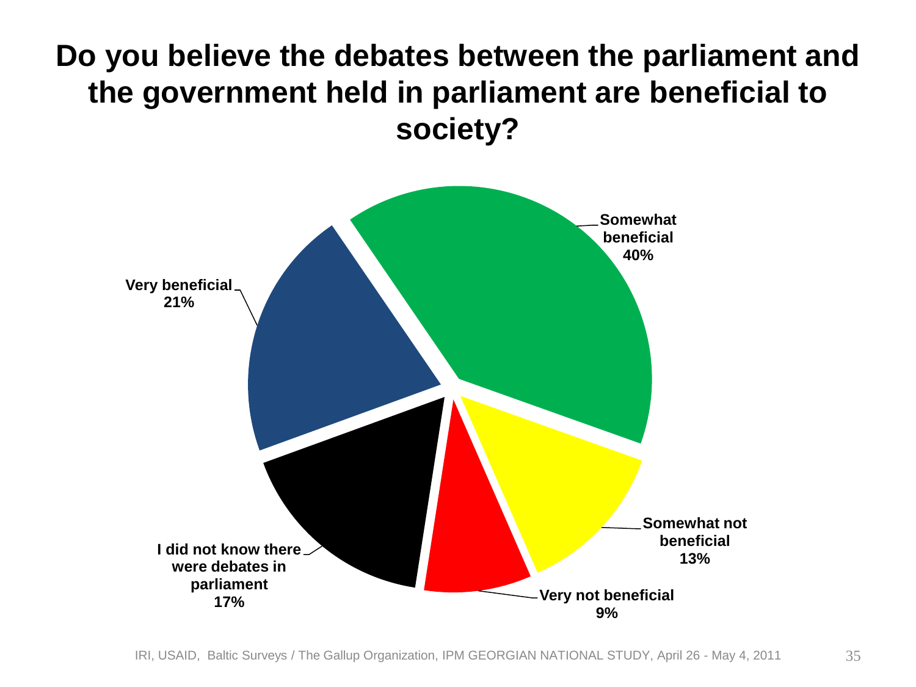#### **Do you believe the debates between the parliament and the government held in parliament are beneficial to society?**

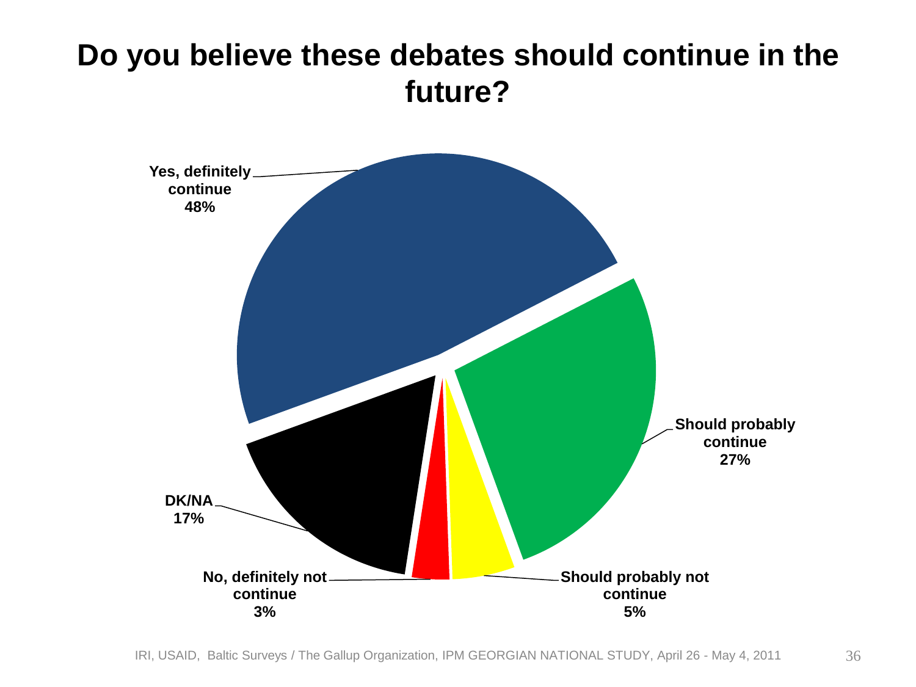#### **Do you believe these debates should continue in the future?**

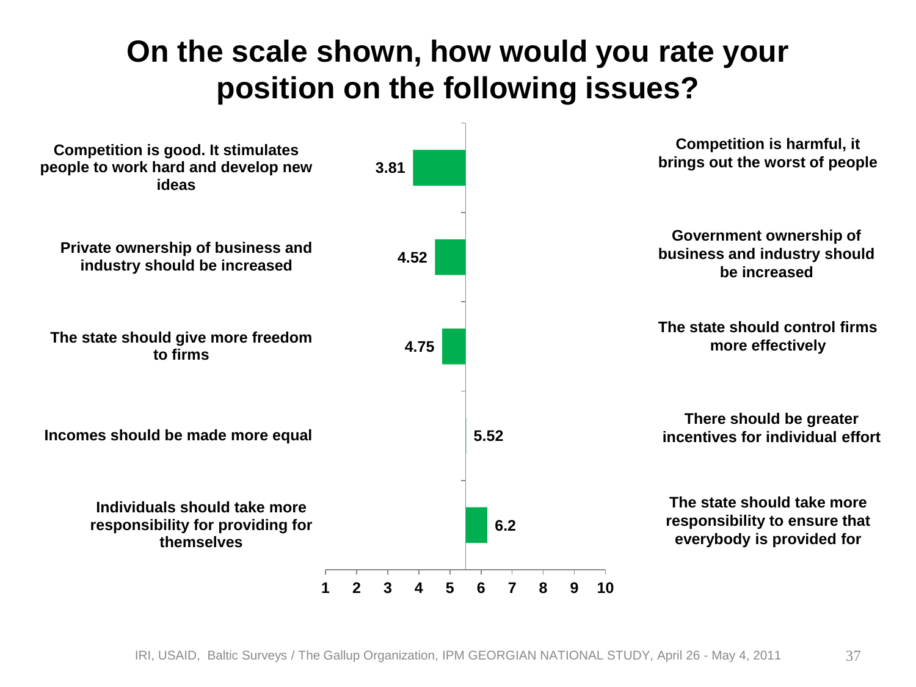#### **On the scale shown, how would you rate your position on the following issues?**

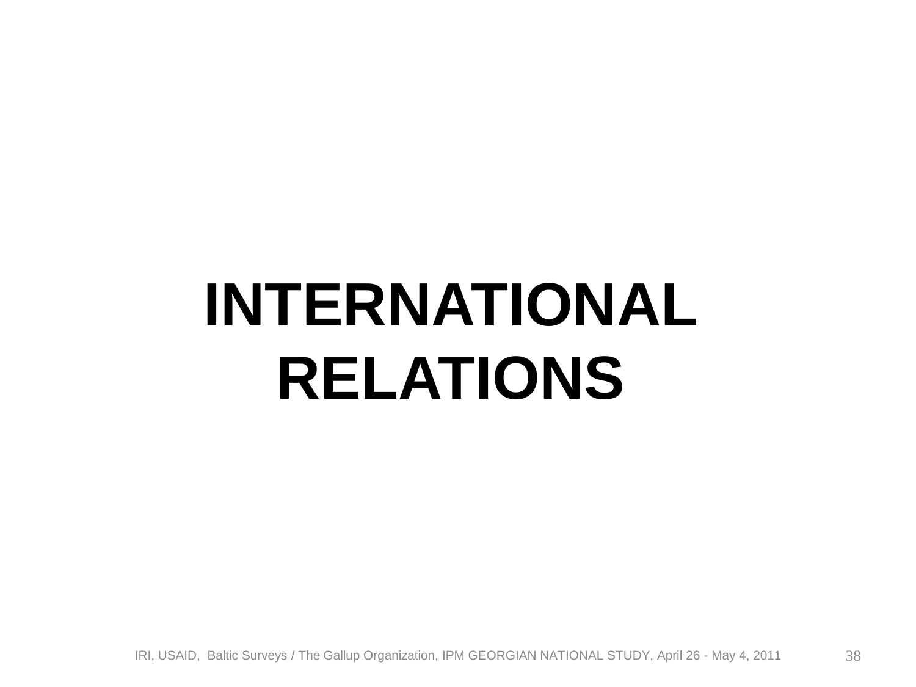# **INTERNATIONAL RELATIONS**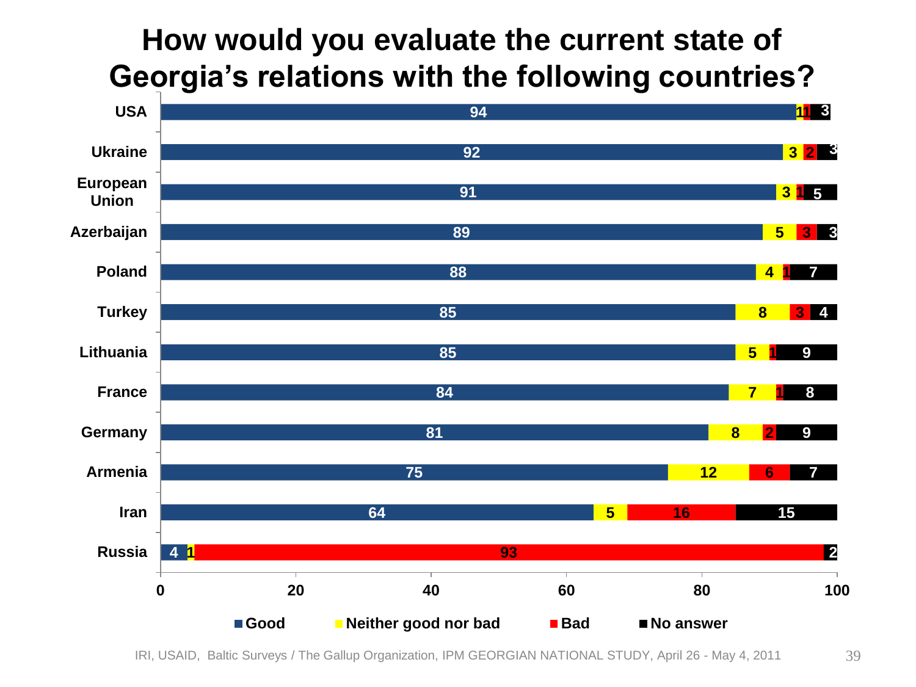#### **How would you evaluate the current state of Georgia's relations with the following countries?**



IRI, USAID, Baltic Surveys / The Gallup Organization, IPM GEORGIAN NATIONAL STUDY, April 26 - May 4, 2011 39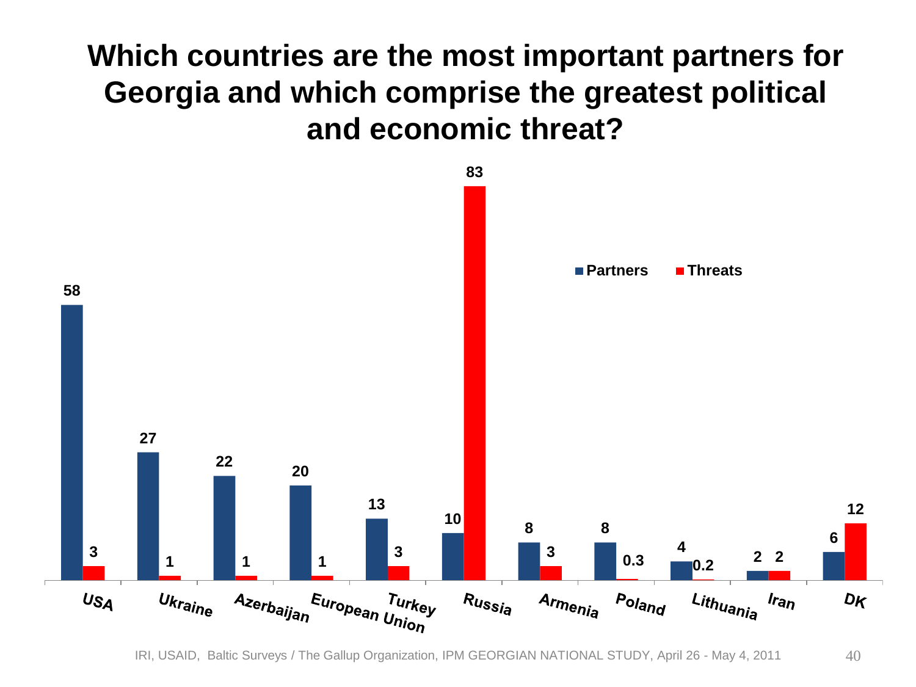#### **Which countries are the most important partners for Georgia and which comprise the greatest political and economic threat?**



IRI, USAID, Baltic Surveys / The Gallup Organization, IPM GEORGIAN NATIONAL STUDY, April 26 - May 4, 2011 40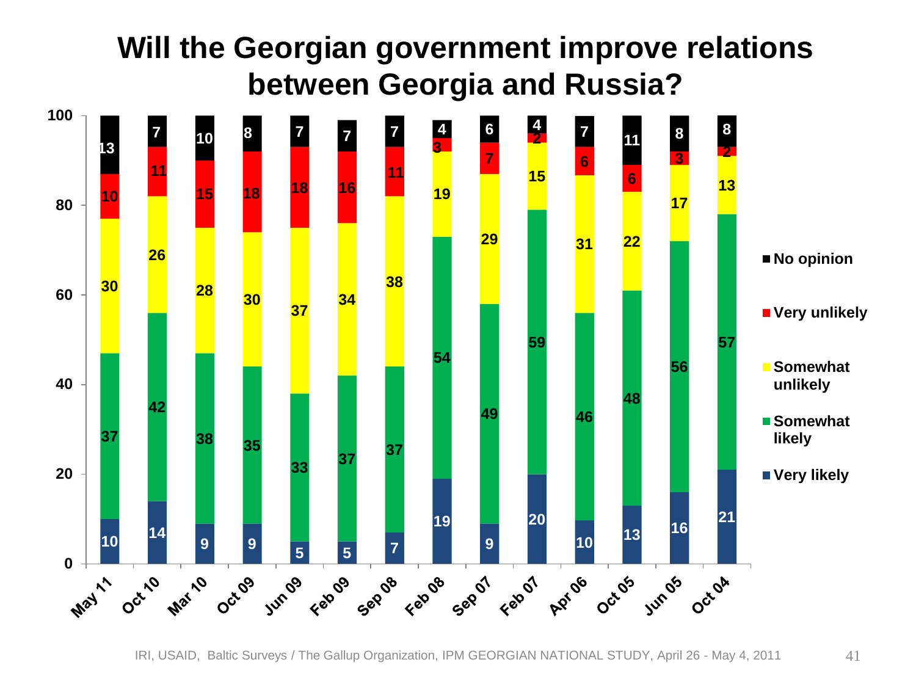#### **Will the Georgian government improve relations between Georgia and Russia?**



IRI, USAID, Baltic Surveys / The Gallup Organization, IPM GEORGIAN NATIONAL STUDY, April 26 - May 4, 2011 41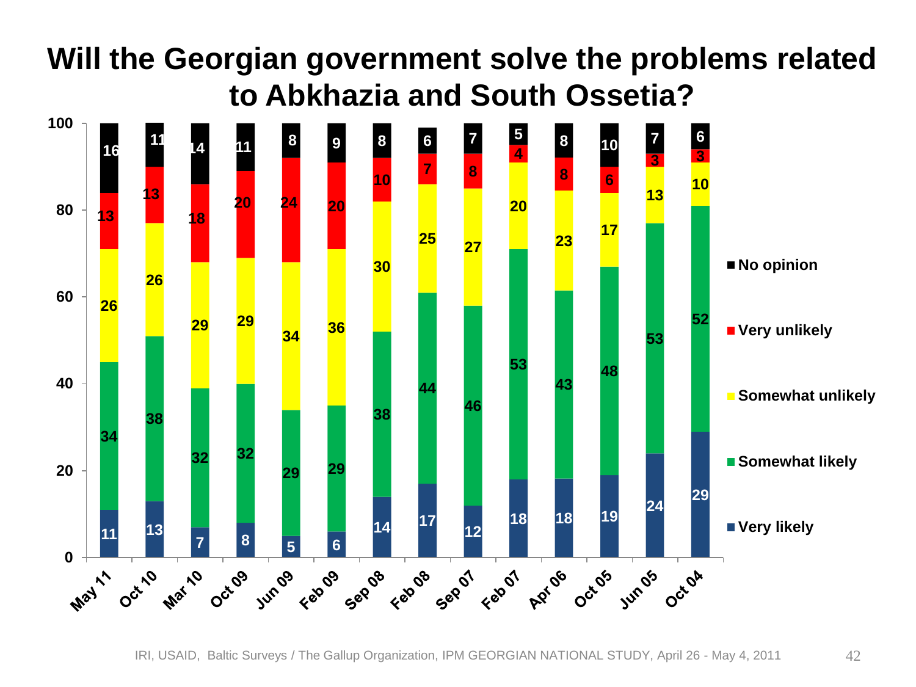### **Will the Georgian government solve the problems related to Abkhazia and South Ossetia?**



IRI, USAID, Baltic Surveys / The Gallup Organization, IPM GEORGIAN NATIONAL STUDY, April 26 - May 4, 2011 42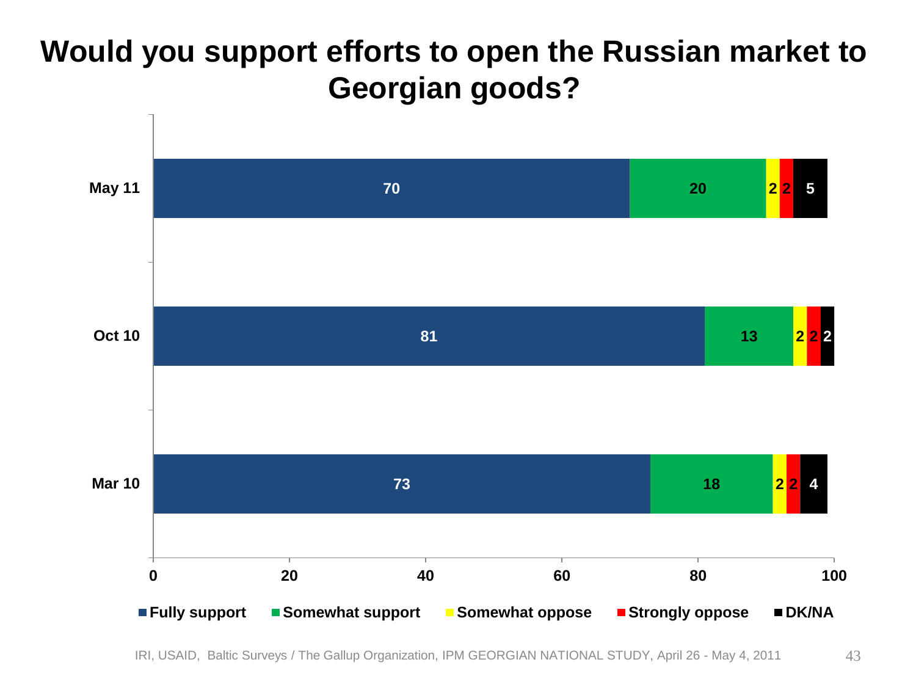#### **Would you support efforts to open the Russian market to Georgian goods?**



IRI, USAID, Baltic Surveys / The Gallup Organization, IPM GEORGIAN NATIONAL STUDY, April 26 - May 4, 2011 43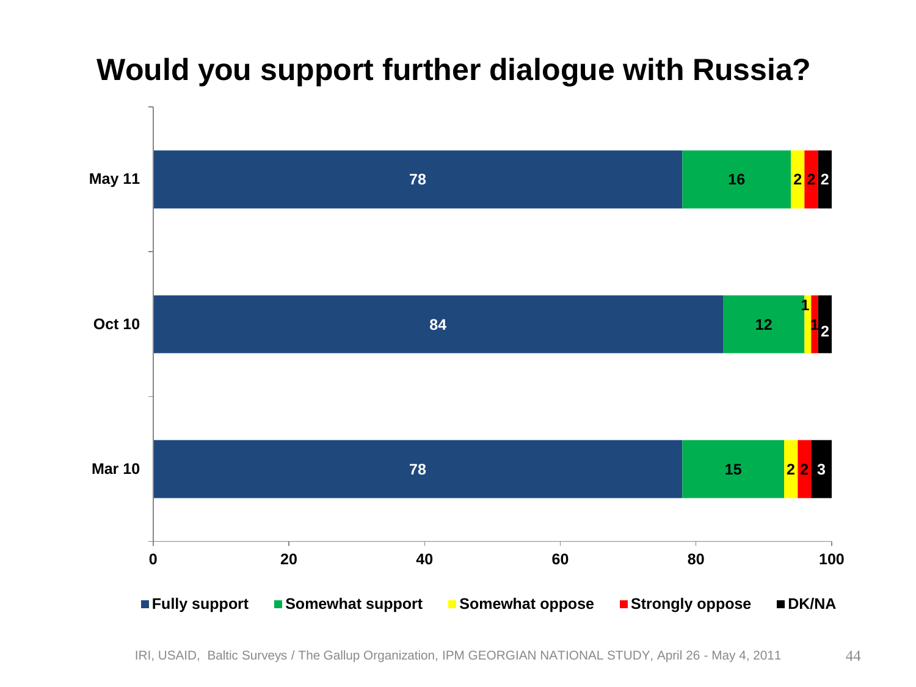#### **Would you support further dialogue with Russia?**

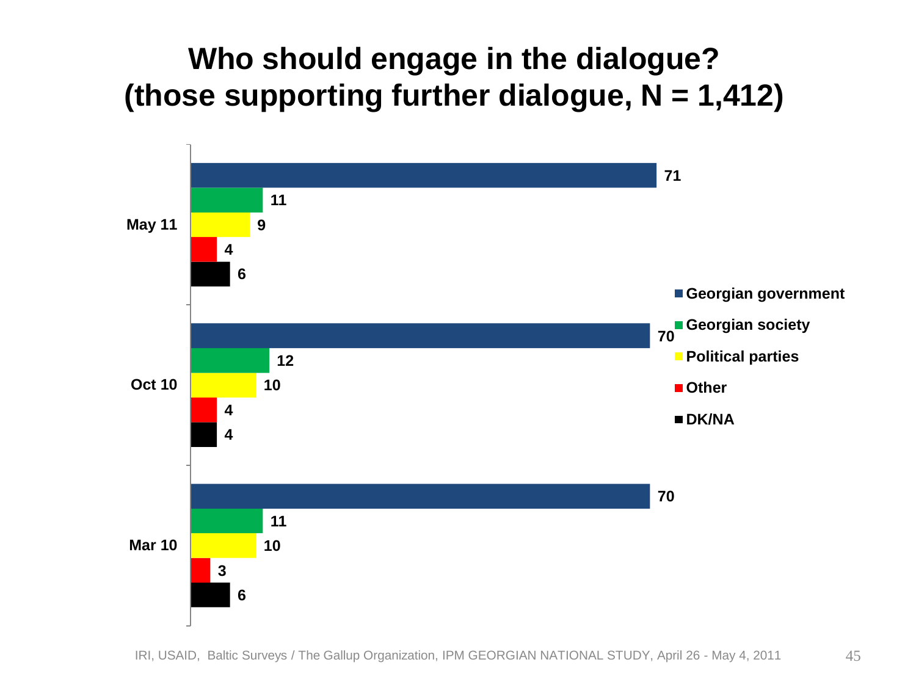#### **Who should engage in the dialogue? (those supporting further dialogue, N = 1,412)**

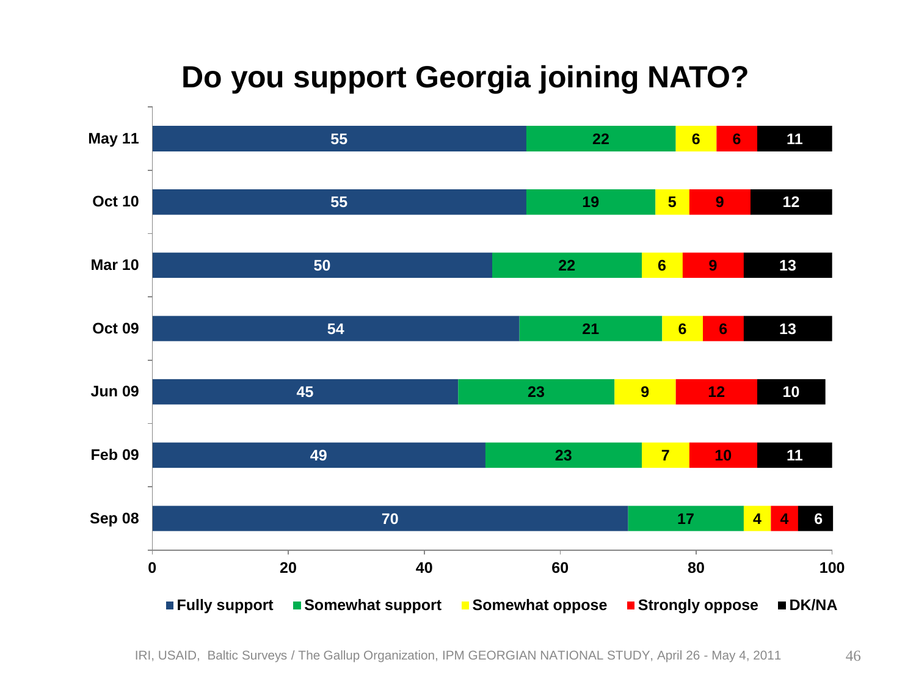### **Do you support Georgia joining NATO?**

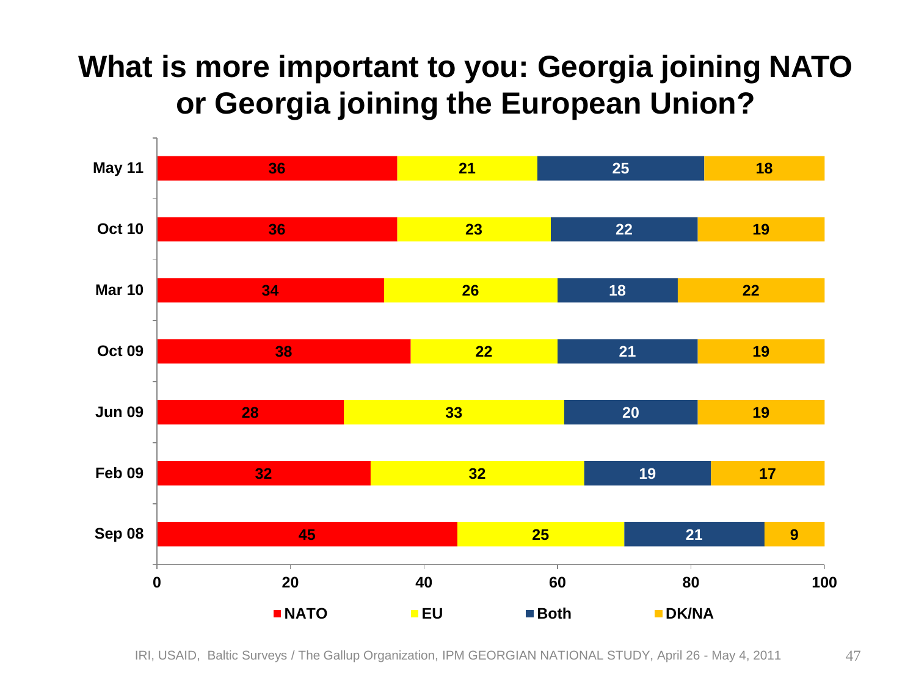#### **What is more important to you: Georgia joining NATO or Georgia joining the European Union?**

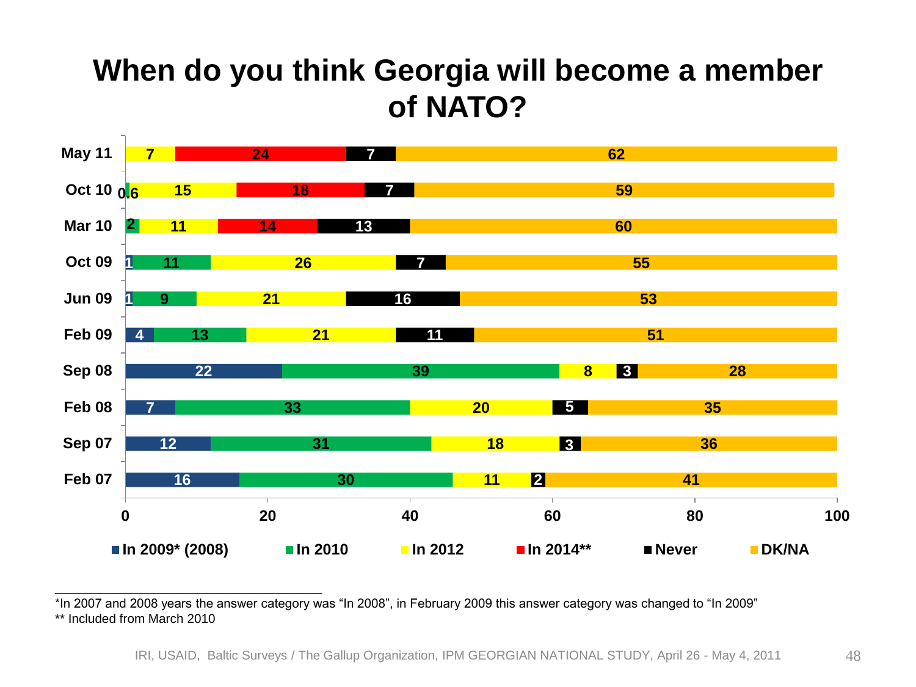#### **When do you think Georgia will become a member of NATO?**



\*In 2007 and 2008 years the answer category was "In 2008", in February 2009 this answer category was changed to "In 2009" \*\* Included from March 2010

\_\_\_\_\_\_\_\_\_\_\_\_\_\_\_\_\_\_\_\_\_\_\_\_\_\_\_\_\_\_\_\_\_\_\_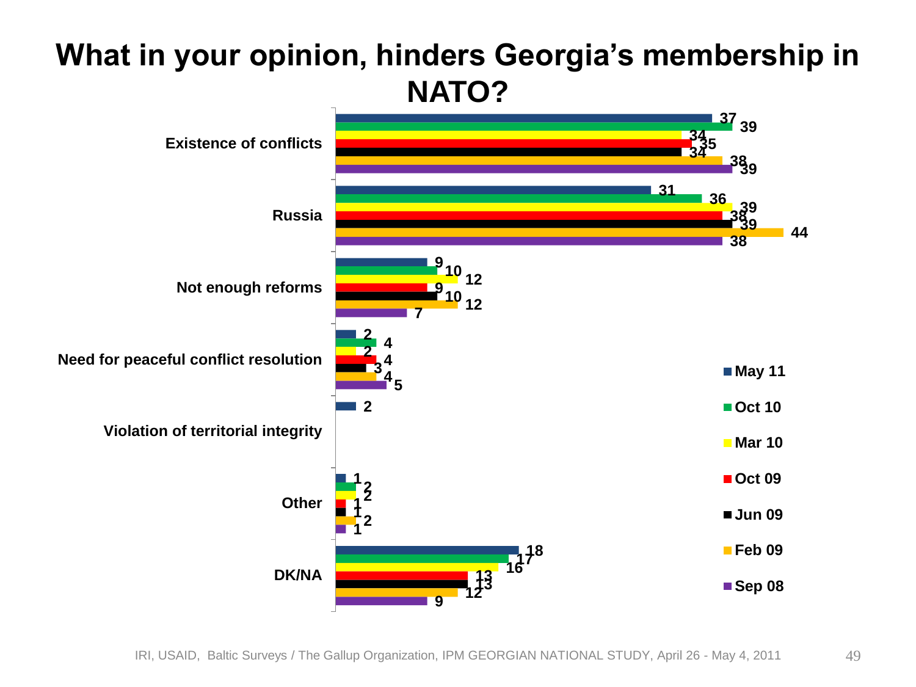#### **What in your opinion, hinders Georgia's membership in NATO?**

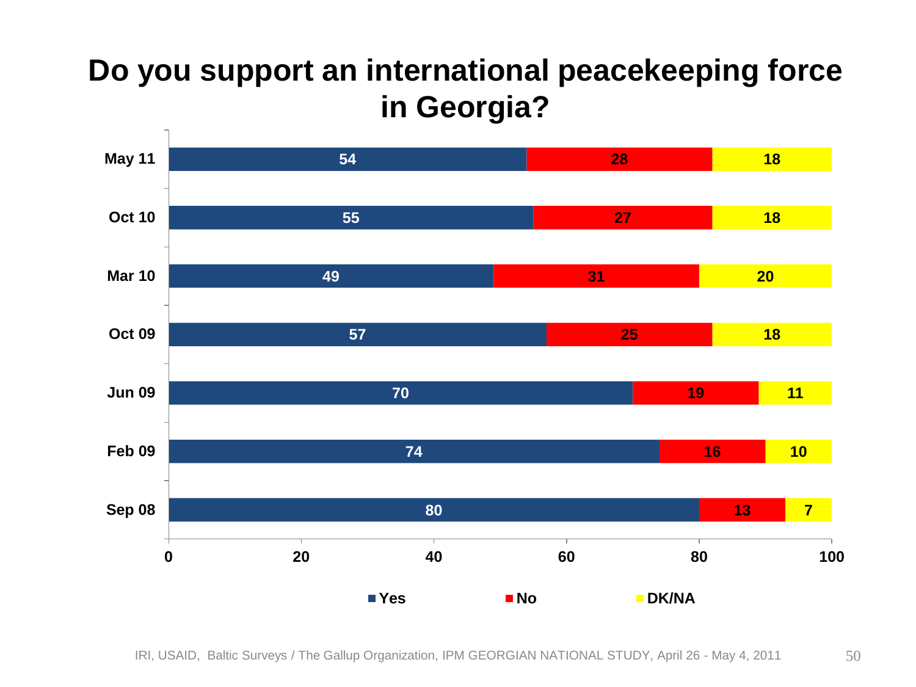#### **Do you support an international peacekeeping force in Georgia?**

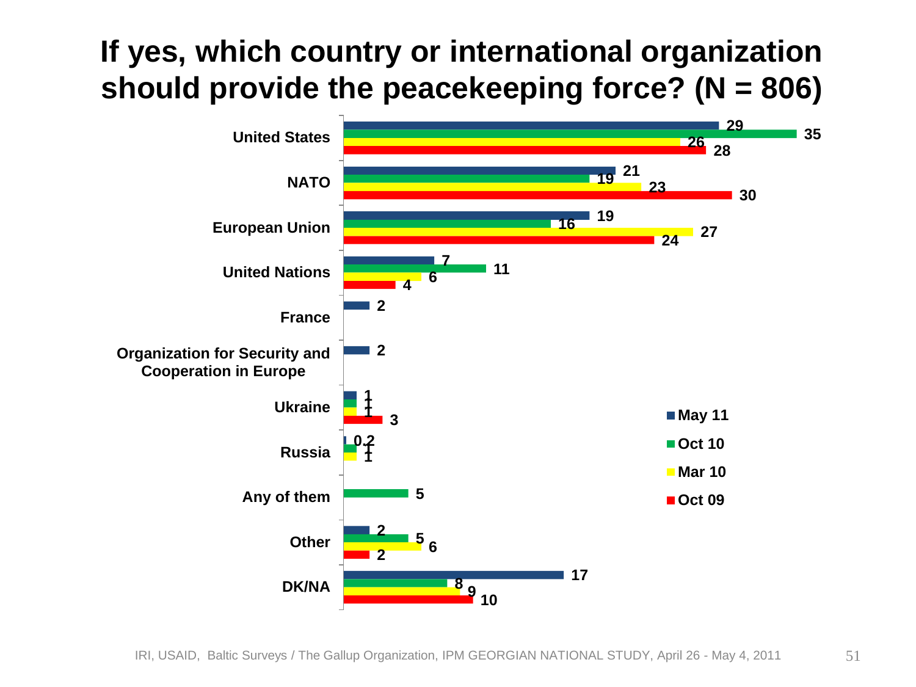#### **If yes, which country or international organization should provide the peacekeeping force? (N = 806)**

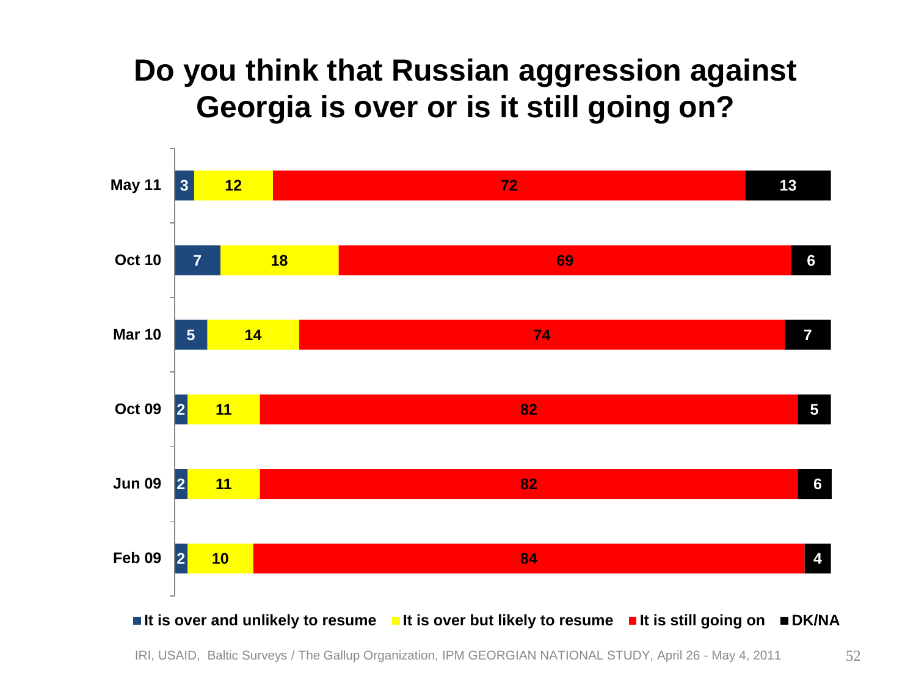#### **Do you think that Russian aggression against Georgia is over or is it still going on?**



IRI, USAID, Baltic Surveys / The Gallup Organization, IPM GEORGIAN NATIONAL STUDY, April 26 - May 4, 2011 52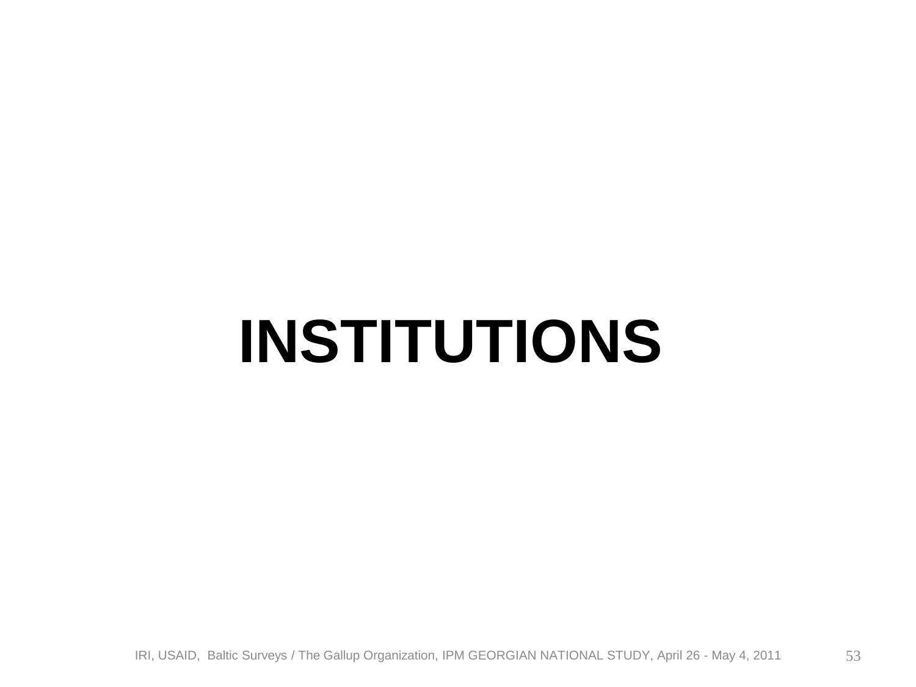# **INSTITUTIONS**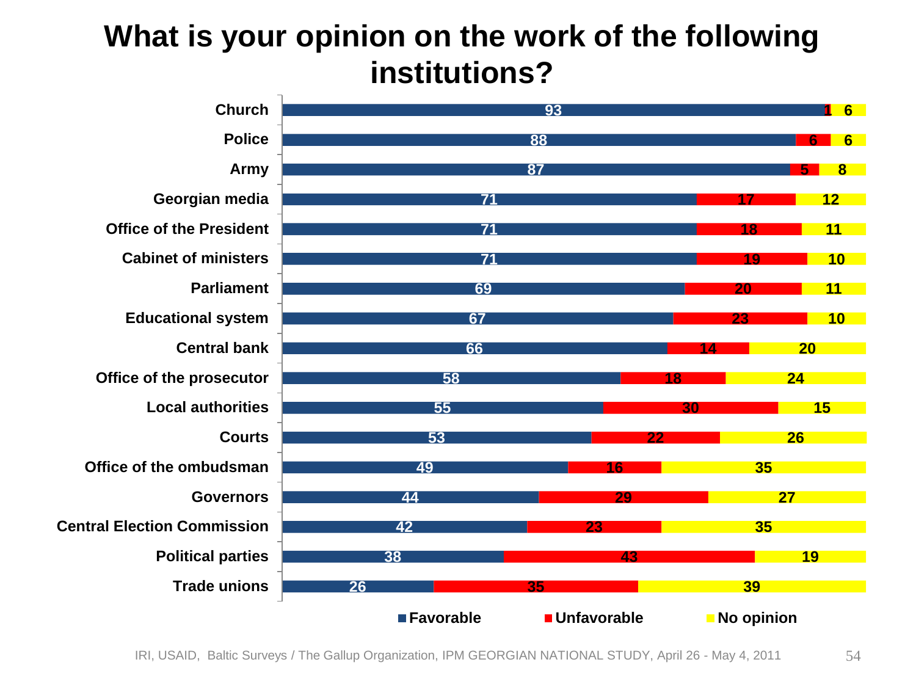#### **What is your opinion on the work of the following institutions?**

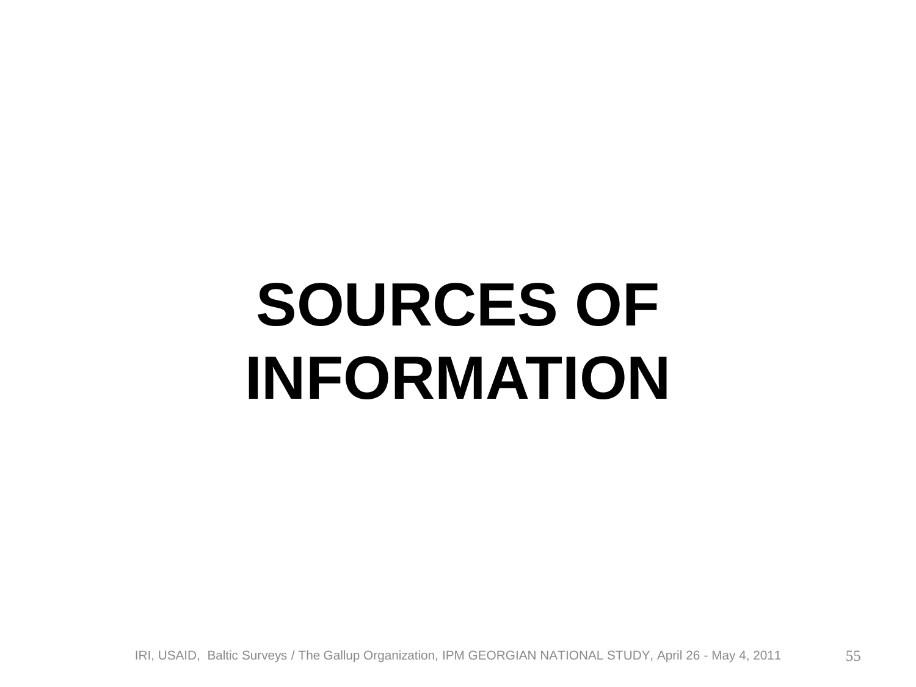# **SOURCES OF INFORMATION**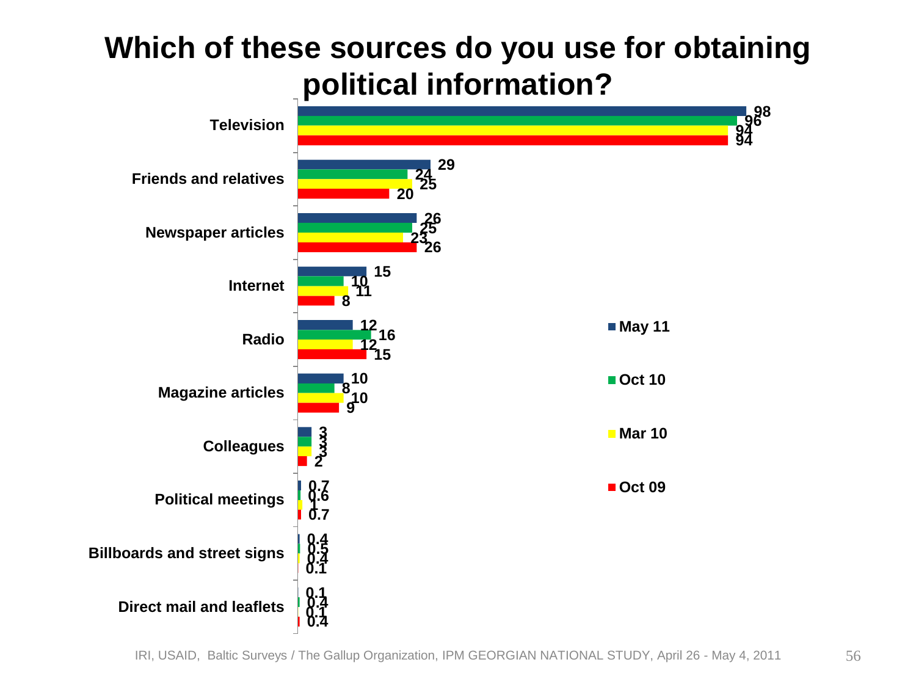#### **Which of these sources do you use for obtaining political information?**

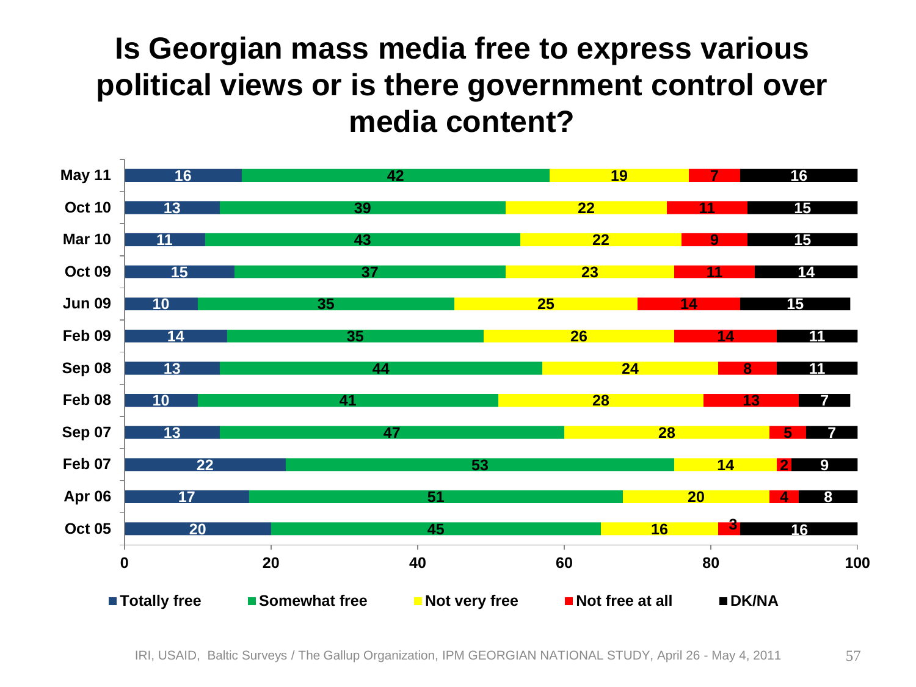#### **Is Georgian mass media free to express various political views or is there government control over media content?**

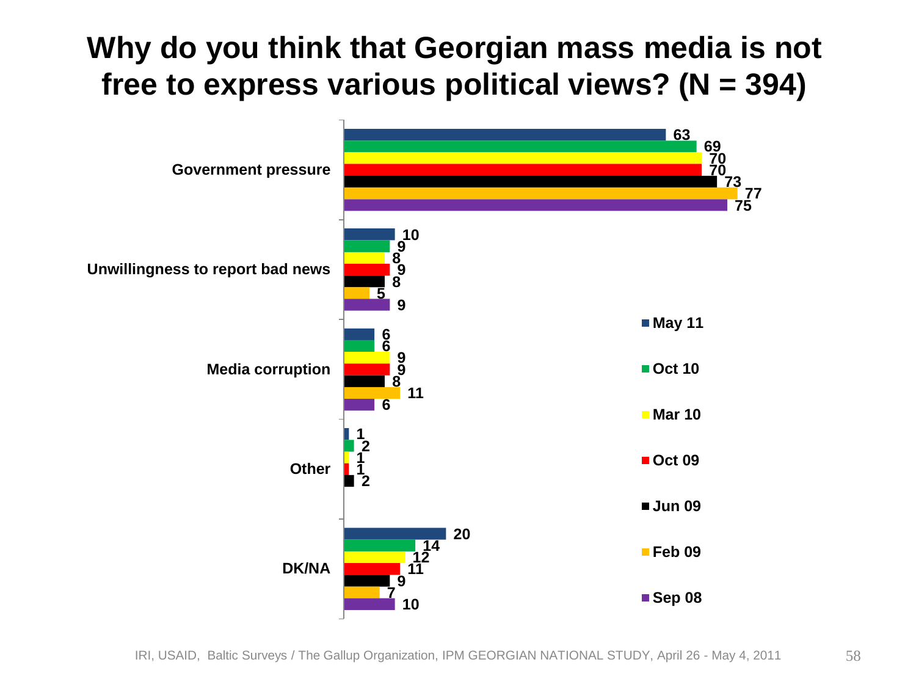**Why do you think that Georgian mass media is not free to express various political views? (N = 394)**

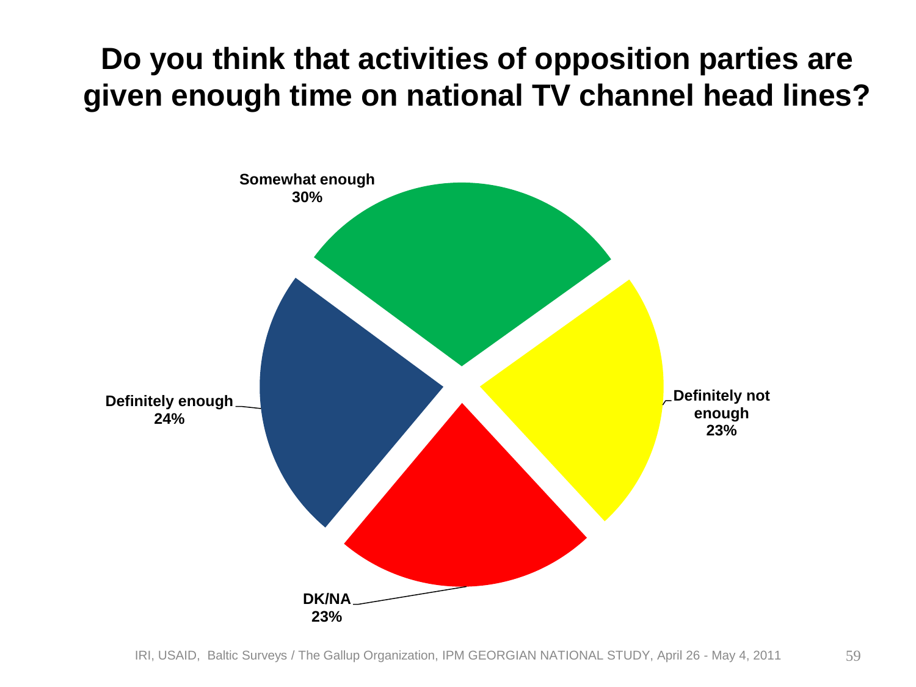#### **Do you think that activities of opposition parties are given enough time on national TV channel head lines?**

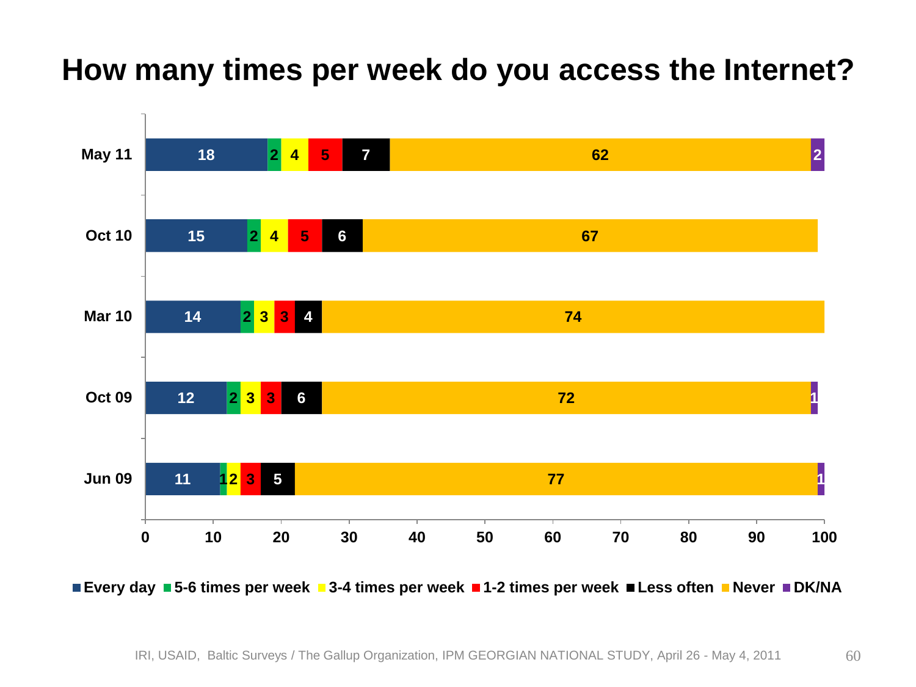#### **How many times per week do you access the Internet?**



**Every day 5-6 times per week 3-4 times per week 1-2 times per week Less often Never DK/NA**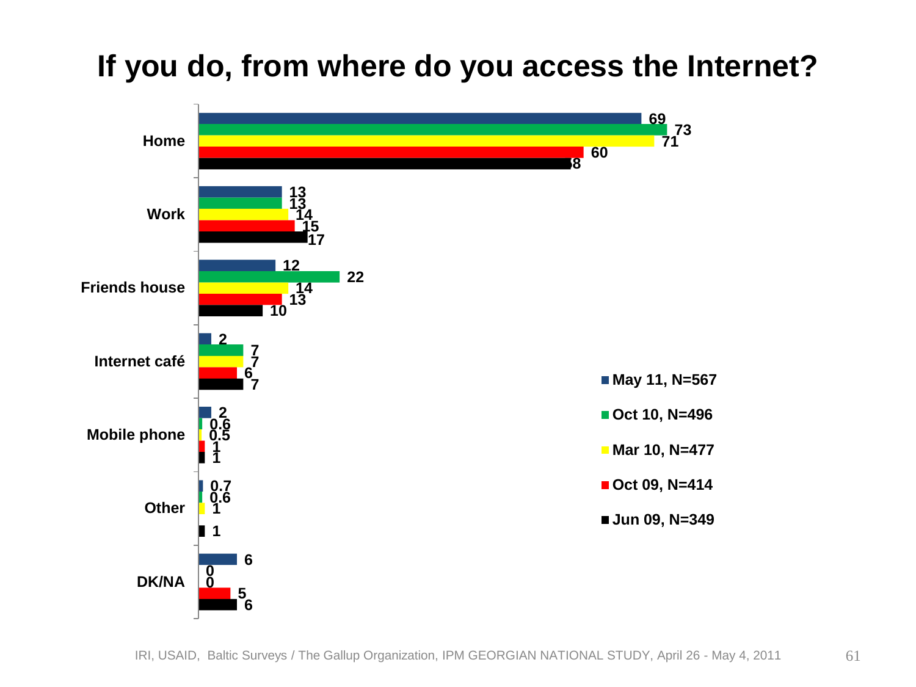#### **If you do, from where do you access the Internet?**

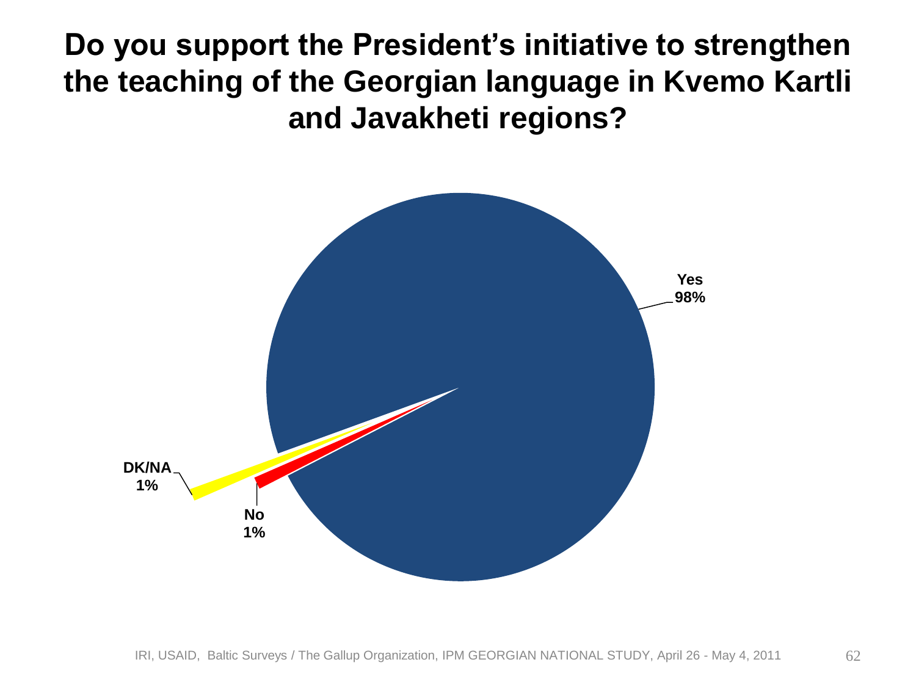#### **Do you support the President's initiative to strengthen the teaching of the Georgian language in Kvemo Kartli and Javakheti regions?**

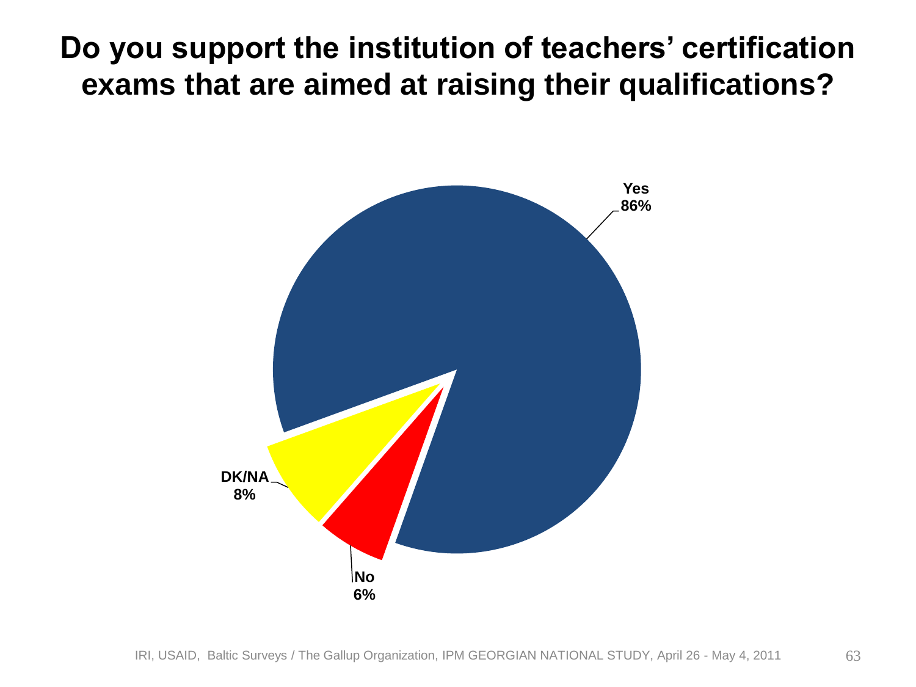#### **Do you support the institution of teachers' certification exams that are aimed at raising their qualifications?**

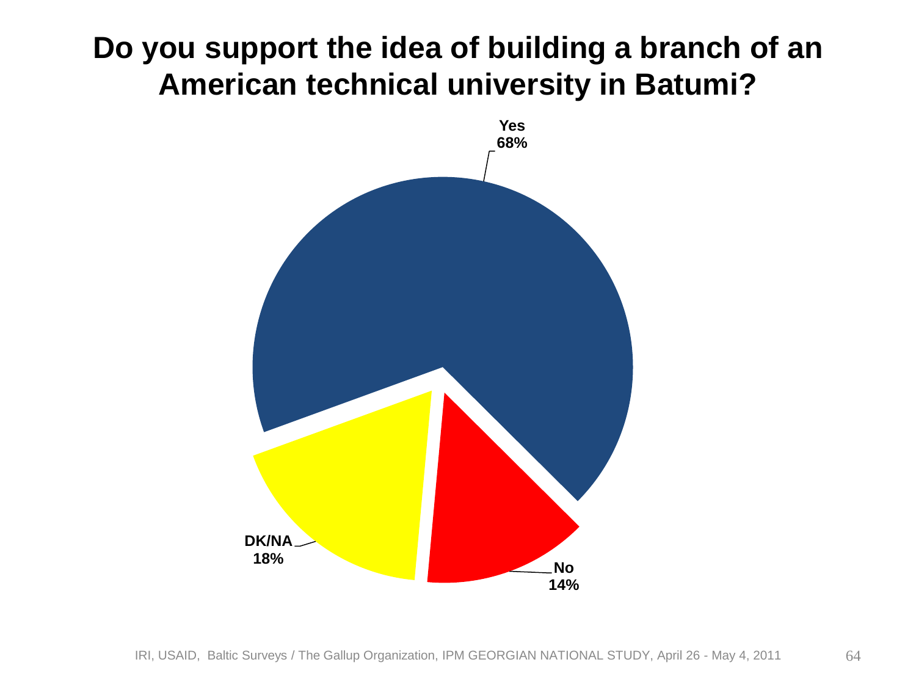#### **Do you support the idea of building a branch of an American technical university in Batumi?**

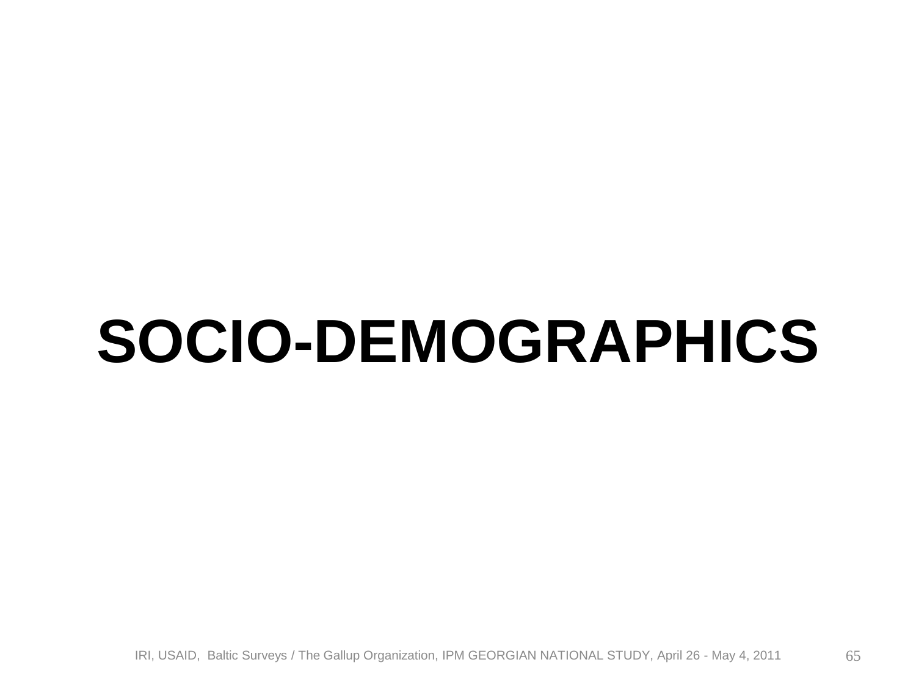### **SOCIO-DEMOGRAPHICS**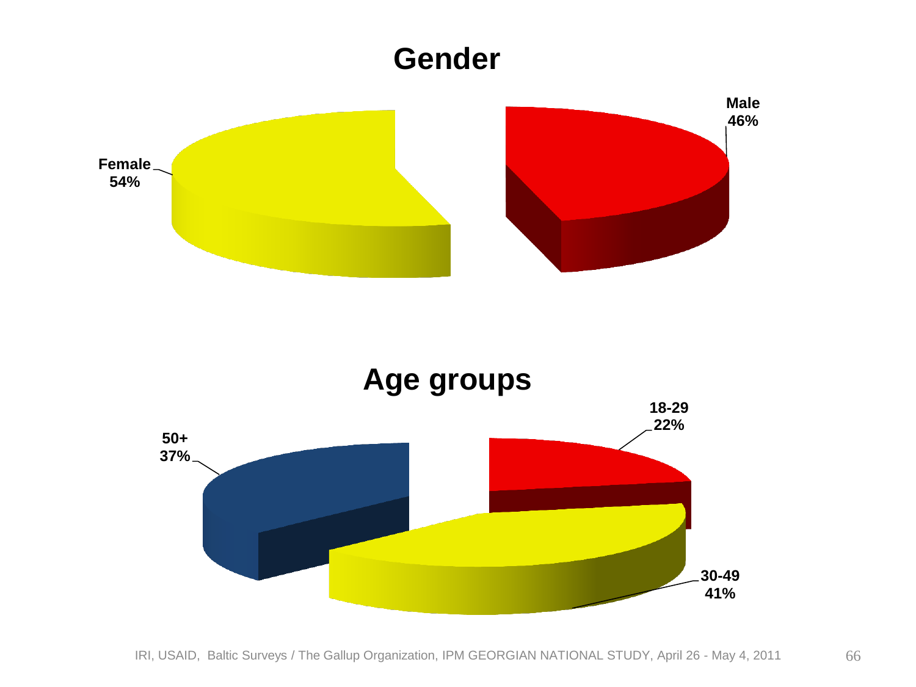

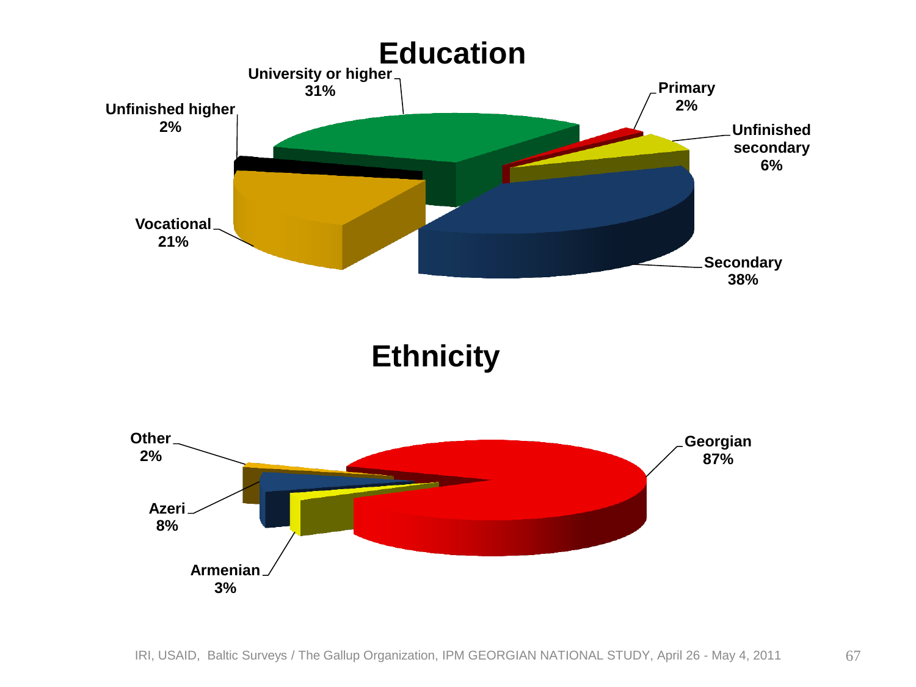

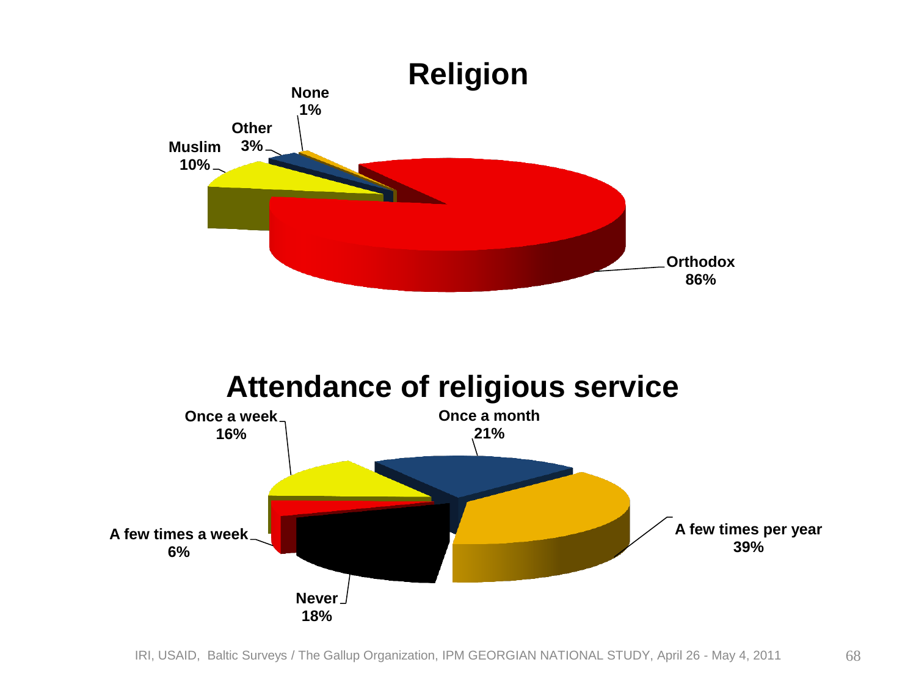

#### **Attendance of religious service**